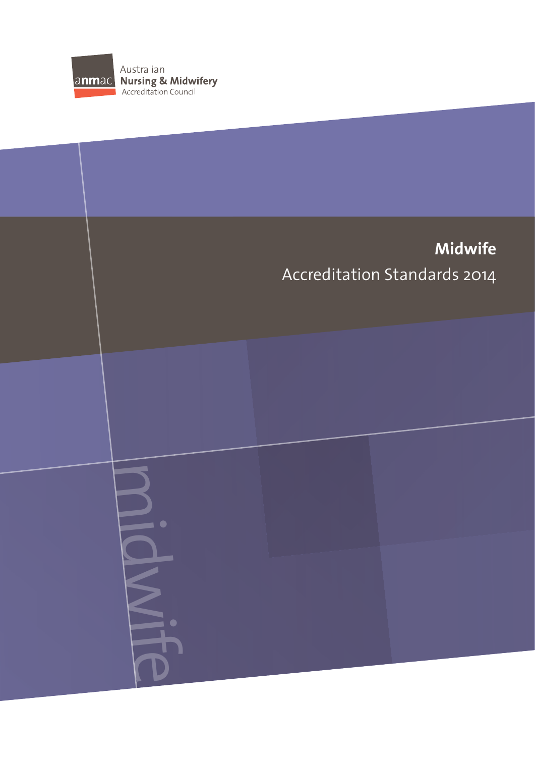

midwife

# **Midwife** Accreditation Standards 2014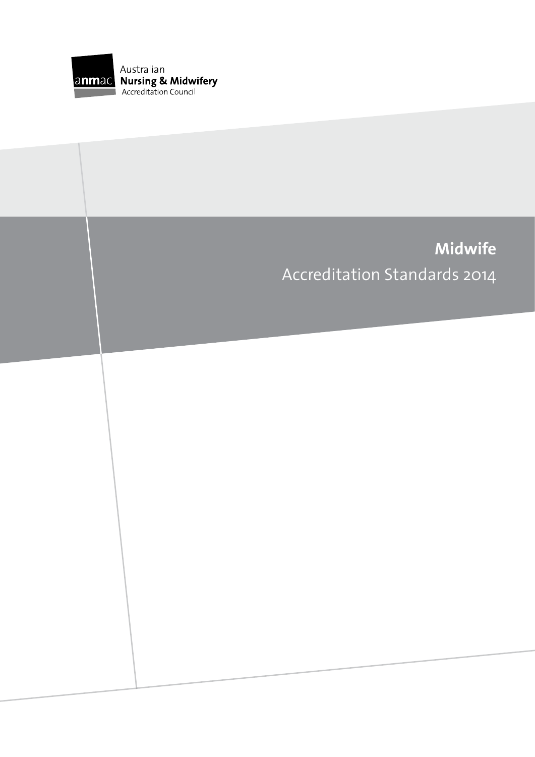

# **Midwife** Accreditation Standards 2014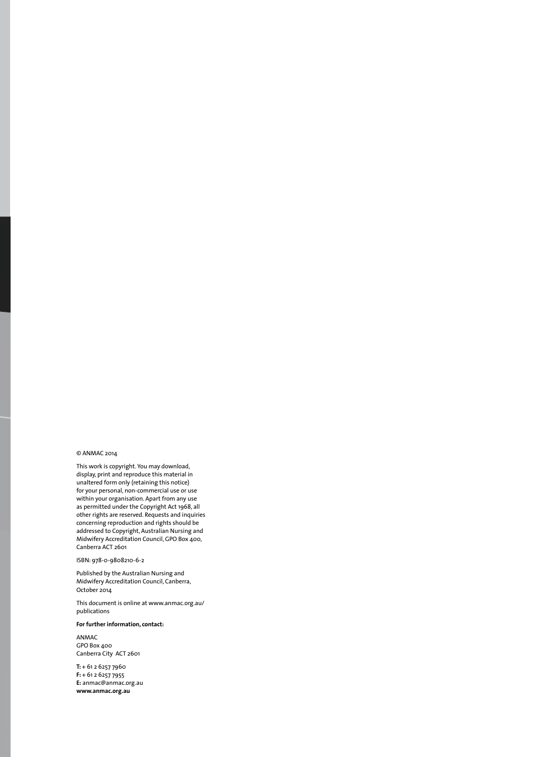#### © ANMAC 2014

This work is copyright. You may download, display, print and reproduce this material in unaltered form only (retaining this notice) for your personal, non-commercial use or use within your organisation. Apart from any use as permitted under the Copyright Act 1968, all other rights are reserved. Requests and inquiries concerning reproduction and rights should be addressed to Copyright, Australian Nursing and Midwifery Accreditation Council, GPO Box 400, Canberra ACT 2601

ISBN: 978-0-9808210-6-2

Published by the Australian Nursing and Midwifery Accreditation Council, Canberra, October 2014

This document is online at www.anmac.org.au/ publications

**For further information, contact:** 

ANMAC GPO Box 400 Canberra City ACT 2601

**T:** + 61 2 6257 7960 **F:** + 61 2 6257 7955 **E:** anmac@anmac.org.au **www.anmac.org.au**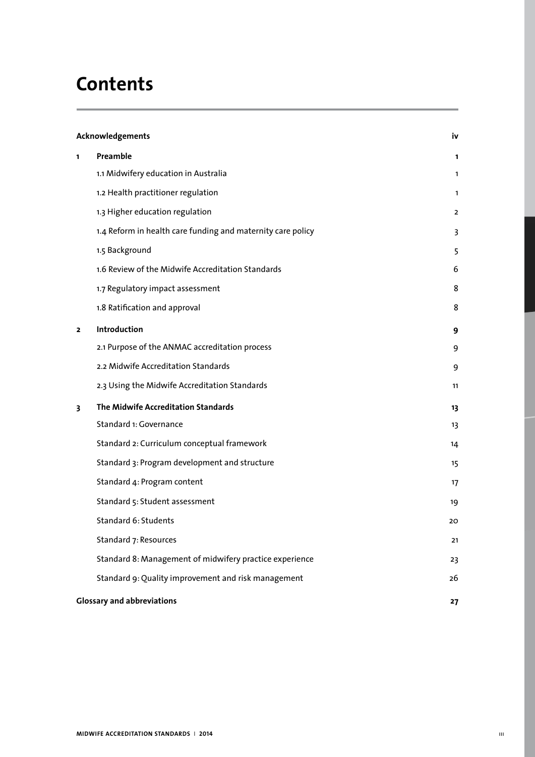# **Contents**

| Acknowledgements |                                                             | iv             |
|------------------|-------------------------------------------------------------|----------------|
| 1                | Preamble                                                    | 1              |
|                  | 1.1 Midwifery education in Australia                        | 1              |
|                  | 1.2 Health practitioner regulation                          | $\mathbf{1}$   |
|                  | 1.3 Higher education regulation                             | $\overline{2}$ |
|                  | 1.4 Reform in health care funding and maternity care policy | 3              |
|                  | 1.5 Background                                              | 5              |
|                  | 1.6 Review of the Midwife Accreditation Standards           | 6              |
|                  | 1.7 Regulatory impact assessment                            | 8              |
|                  | 1.8 Ratification and approval                               | 8              |
| $\mathbf{z}$     | Introduction                                                | 9              |
|                  | 2.1 Purpose of the ANMAC accreditation process              | 9              |
|                  | 2.2 Midwife Accreditation Standards                         | 9              |
|                  | 2.3 Using the Midwife Accreditation Standards               | 11             |
| 3                | The Midwife Accreditation Standards                         | 13             |
|                  | Standard 1: Governance                                      | 13             |
|                  | Standard 2: Curriculum conceptual framework                 | 14             |
|                  | Standard 3: Program development and structure               | 15             |
|                  | Standard 4: Program content                                 | 17             |
|                  | Standard 5: Student assessment                              | 19             |
|                  | Standard 6: Students                                        | 20             |
|                  | Standard 7: Resources                                       | 21             |
|                  | Standard 8: Management of midwifery practice experience     | 23             |
|                  | Standard 9: Quality improvement and risk management         | 26             |
|                  | <b>Glossary and abbreviations</b>                           | 27             |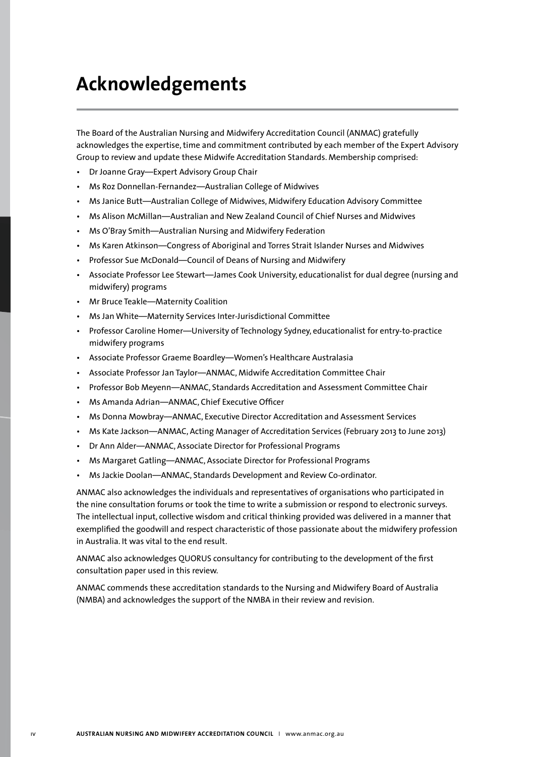# **Acknowledgements**

The Board of the Australian Nursing and Midwifery Accreditation Council (ANMAC) gratefully acknowledges the expertise, time and commitment contributed by each member of the Expert Advisory Group to review and update these Midwife Accreditation Standards. Membership comprised:

- Dr Joanne Gray—Expert Advisory Group Chair
- Ms Roz Donnellan-Fernandez—Australian College of Midwives
- Ms Janice Butt—Australian College of Midwives, Midwifery Education Advisory Committee
- Ms Alison McMillan—Australian and New Zealand Council of Chief Nurses and Midwives
- Ms O'Bray Smith—Australian Nursing and Midwifery Federation
- Ms Karen Atkinson—Congress of Aboriginal and Torres Strait Islander Nurses and Midwives
- Professor Sue McDonald—Council of Deans of Nursing and Midwifery
- Associate Professor Lee Stewart—James Cook University, educationalist for dual degree (nursing and midwifery) programs
- Mr Bruce Teakle—Maternity Coalition
- Ms Jan White—Maternity Services Inter-Jurisdictional Committee
- Professor Caroline Homer—University of Technology Sydney, educationalist for entry-to-practice midwifery programs
- Associate Professor Graeme Boardley—Women's Healthcare Australasia
- Associate Professor Jan Taylor—ANMAC, Midwife Accreditation Committee Chair
- Professor Bob Meyenn—ANMAC, Standards Accreditation and Assessment Committee Chair
- Ms Amanda Adrian—ANMAC, Chief Executive Officer
- Ms Donna Mowbray—ANMAC, Executive Director Accreditation and Assessment Services
- Ms Kate Jackson—ANMAC, Acting Manager of Accreditation Services (February 2013 to June 2013)
- Dr Ann Alder—ANMAC, Associate Director for Professional Programs
- Ms Margaret Gatling—ANMAC, Associate Director for Professional Programs
- Ms Jackie Doolan—ANMAC, Standards Development and Review Co-ordinator.

ANMAC also acknowledges the individuals and representatives of organisations who participated in the nine consultation forums or took the time to write a submission or respond to electronic surveys. The intellectual input, collective wisdom and critical thinking provided was delivered in a manner that exemplified the goodwill and respect characteristic of those passionate about the midwifery profession in Australia. It was vital to the end result.

ANMAC also acknowledges QUORUS consultancy for contributing to the development of the first consultation paper used in this review.

ANMAC commends these accreditation standards to the Nursing and Midwifery Board of Australia (NMBA) and acknowledges the support of the NMBA in their review and revision.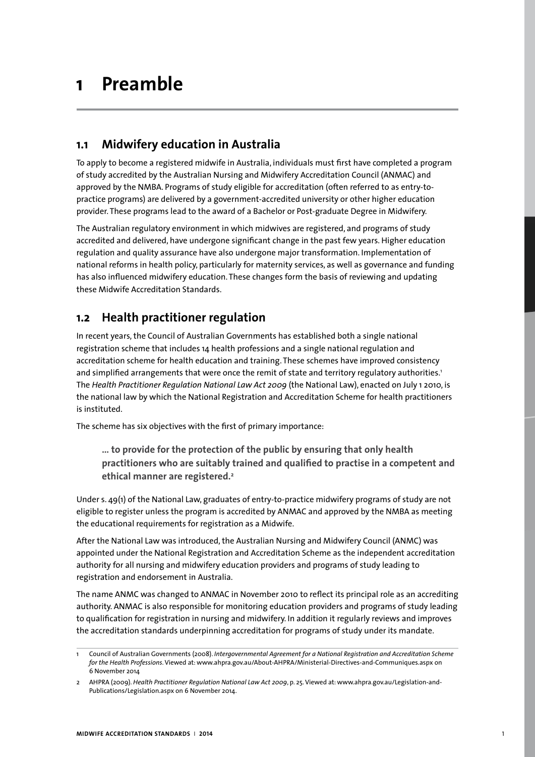# **1 Preamble**

# **1.1 Midwifery education in Australia**

To apply to become a registered midwife in Australia, individuals must first have completed a program of study accredited by the Australian Nursing and Midwifery Accreditation Council (ANMAC) and approved by the NMBA. Programs of study eligible for accreditation (often referred to as entry-topractice programs) are delivered by a government-accredited university or other higher education provider. These programs lead to the award of a Bachelor or Post-graduate Degree in Midwifery.

The Australian regulatory environment in which midwives are registered, and programs of study accredited and delivered, have undergone significant change in the past few years. Higher education regulation and quality assurance have also undergone major transformation. Implementation of national reforms in health policy, particularly for maternity services, as well as governance and funding has also influenced midwifery education. These changes form the basis of reviewing and updating these Midwife Accreditation Standards.

# **1.2 Health practitioner regulation**

In recent years, the Council of Australian Governments has established both a single national registration scheme that includes 14 health professions and a single national regulation and accreditation scheme for health education and training. These schemes have improved consistency and simplified arrangements that were once the remit of state and territory regulatory authorities.<sup>1</sup> The *Health Practitioner Regulation National Law Act 2009* (the National Law), enacted on July 1 2010, is the national law by which the National Registration and Accreditation Scheme for health practitioners is instituted.

The scheme has six objectives with the first of primary importance:

**… to provide for the protection of the public by ensuring that only health practitioners who are suitably trained and qualified to practise in a competent and ethical manner are registered.2**

Under s. 49(1) of the National Law, graduates of entry-to-practice midwifery programs of study are not eligible to register unless the program is accredited by ANMAC and approved by the NMBA as meeting the educational requirements for registration as a Midwife.

After the National Law was introduced, the Australian Nursing and Midwifery Council (ANMC) was appointed under the National Registration and Accreditation Scheme as the independent accreditation authority for all nursing and midwifery education providers and programs of study leading to registration and endorsement in Australia.

The name ANMC was changed to ANMAC in November 2010 to reflect its principal role as an accrediting authority. ANMAC is also responsible for monitoring education providers and programs of study leading to qualification for registration in nursing and midwifery. In addition it regularly reviews and improves the accreditation standards underpinning accreditation for programs of study under its mandate.

<sup>1</sup> Council of Australian Governments (2008). *Intergovernmental Agreement for a National Registration and Accreditation Scheme for the Health Professions*. Viewed at: www.ahpra.gov.au/About-AHPRA/Ministerial-Directives-and-Communiques.aspx on 6 November 2014

<sup>2</sup> AHPRA (2009). *Health Practitioner Regulation National Law Act 2009*, p. 25. Viewed at: www.ahpra.gov.au/Legislation-and-Publications/Legislation.aspx on 6 November 2014.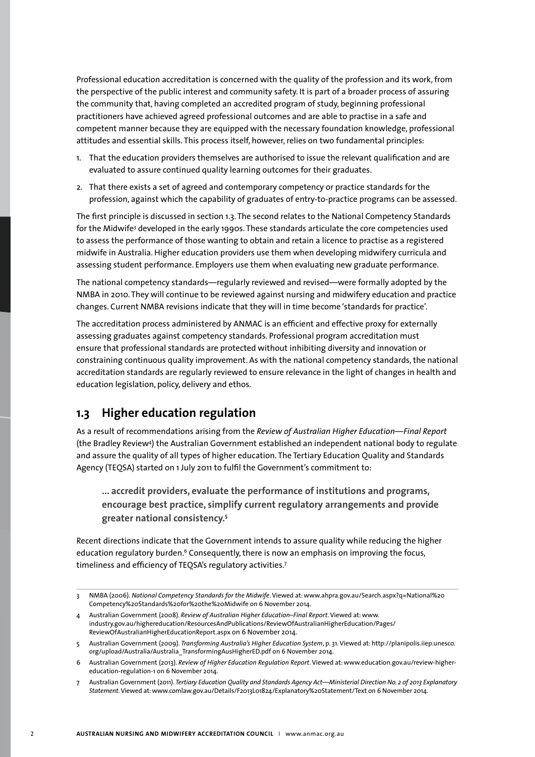Professional education accreditation is concerned with the quality of the profession and its work, from the perspective of the public interest and community safety. It is part of a broader process of assuring the community that, having completed an accredited program of study, beginning professional practitioners have achieved agreed professional outcomes and are able to practise in a safe and competent manner because they are equipped with the necessary foundation knowledge, professional attitudes and essential skills. This process itself, however, relies on two fundamental principles:

- 1. That the education providers themselves are authorised to issue the relevant qualification and are evaluated to assure continued quality learning outcomes for their graduates.
- 2. That there exists a set of agreed and contemporary competency or practice standards for the profession, against which the capability of graduates of entry-to-practice programs can be assessed.

The first principle is discussed in section 1.3. The second relates to the National Competency Standards for the Midwife<sup>3</sup> developed in the early 1990s. These standards articulate the core competencies used to assess the performance of those wanting to obtain and retain a licence to practise as a registered midwife in Australia. Higher education providers use them when developing midwifery curricula and assessing student performance. Employers use them when evaluating new graduate performance.

The national competency standards—regularly reviewed and revised—were formally adopted by the NMBA in 2010. They will continue to be reviewed against nursing and midwifery education and practice changes. Current NMBA revisions indicate that they will in time become 'standards for practice'.

The accreditation process administered by ANMAC is an efficient and effective proxy for externally assessing graduates against competency standards. Professional program accreditation must ensure that professional standards are protected without inhibiting diversity and innovation or constraining continuous quality improvement. As with the national competency standards, the national accreditation standards are regularly reviewed to ensure relevance in the light of changes in health and education legislation, policy, delivery and ethos.

## **1.3 Higher education regulation**

As a result of recommendations arising from the *Review of Australian Higher Education—Final Report* (the Bradley Review4 ) the Australian Government established an independent national body to regulate and assure the quality of all types of higher education. The Tertiary Education Quality and Standards Agency (TEQSA) started on 1 July 2011 to fulfil the Government's commitment to:

**... accredit providers, evaluate the performance of institutions and programs, encourage best practice, simplify current regulatory arrangements and provide greater national consistency.5**

Recent directions indicate that the Government intends to assure quality while reducing the higher education regulatory burden.<sup>6</sup> Consequently, there is now an emphasis on improving the focus, timeliness and efficiency of TEQSA's regulatory activities.7

7 Australian Government (2011). *Tertiary Education Quality and Standards Agency Act*—*Ministerial Direction No. 2 of 2013 Explanatory Statement*. Viewed at: www.comlaw.gov.au/Details/F2013L01824/Explanatory%20Statement/Text on 6 November 2014.

<sup>3</sup> NMBA (2006). *National Competency Standards for the Midwife*. Viewed at: www.ahpra.gov.au/Search.aspx?q=National%20 Competency%20Standards%20for%20the%20Midwife on 6 November 2014.

<sup>4</sup> Australian Government (2008). *Review of Australian Higher Education–Final Report*. Viewed at: www. industry.gov.au/highereducation/ResourcesAndPublications/ReviewOfAustralianHigherEducation/Pages/ ReviewOfAustralianHigherEducationReport.aspx on 6 November 2014.

<sup>5</sup> Australian Government (2009). *Transforming Australia's Higher Education System*, p. 31. Viewed at: http://planipolis.iiep.unesco. org/upload/Australia/Australia\_TransformingAusHigherED.pdf on 6 November 2014.

<sup>6</sup> Australian Government (2013). *Review of Higher Education Regulation Report*. Viewed at: www.education.gov.au/review-highereducation-regulation-1 on 6 November 2014.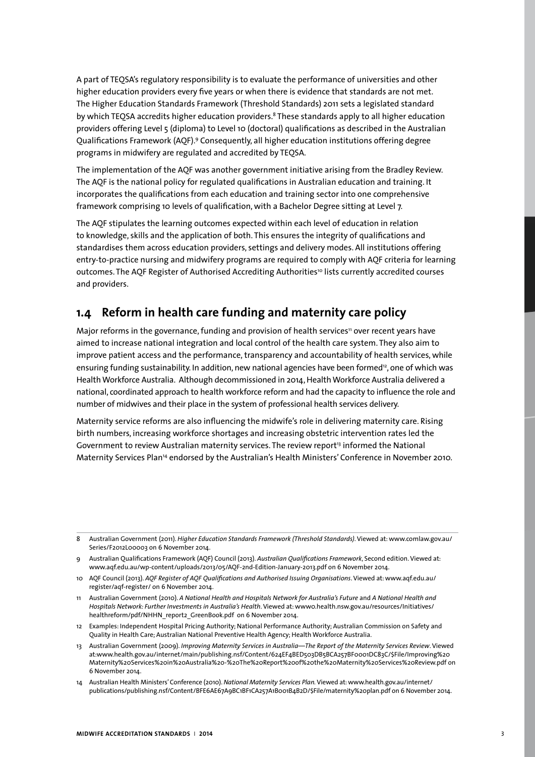A part of TEQSA's regulatory responsibility is to evaluate the performance of universities and other higher education providers every five years or when there is evidence that standards are not met. The Higher Education Standards Framework (Threshold Standards) 2011 sets a legislated standard by which TEOSA accredits higher education providers.<sup>8</sup> These standards apply to all higher education providers offering Level 5 (diploma) to Level 10 (doctoral) qualifications as described in the Australian Qualifications Framework (AQF).9 Consequently, all higher education institutions offering degree programs in midwifery are regulated and accredited by TEQSA.

The implementation of the AQF was another government initiative arising from the Bradley Review. The AQF is the national policy for regulated qualifications in Australian education and training. It incorporates the qualifications from each education and training sector into one comprehensive framework comprising 10 levels of qualification, with a Bachelor Degree sitting at Level 7.

The AQF stipulates the learning outcomes expected within each level of education in relation to knowledge, skills and the application of both. This ensures the integrity of qualifications and standardises them across education providers, settings and delivery modes. All institutions offering entry-to-practice nursing and midwifery programs are required to comply with AQF criteria for learning outcomes. The AOF Register of Authorised Accrediting Authorities<sup>10</sup> lists currently accredited courses and providers.

# **1.4 Reform in health care funding and maternity care policy**

Major reforms in the governance, funding and provision of health services<sup>11</sup> over recent years have aimed to increase national integration and local control of the health care system. They also aim to improve patient access and the performance, transparency and accountability of health services, while ensuring funding sustainability. In addition, new national agencies have been formed<sup>12</sup>, one of which was Health Workforce Australia. Although decommissioned in 2014, Health Workforce Australia delivered a national, coordinated approach to health workforce reform and had the capacity to influence the role and number of midwives and their place in the system of professional health services delivery.

Maternity service reforms are also influencing the midwife's role in delivering maternity care. Rising birth numbers, increasing workforce shortages and increasing obstetric intervention rates led the Government to review Australian maternity services. The review report<sup>13</sup> informed the National Maternity Services Plan14 endorsed by the Australian's Health Ministers' Conference in November 2010.

<sup>8</sup> Australian Government (2011). *Higher Education Standards Framework (Threshold Standards)*. Viewed at: www.comlaw.gov.au/ Series/F2012L00003 on 6 November 2014.

<sup>9</sup> Australian Qualifications Framework (AQF) Council (2013). *Australian Qualifications Framework*, Second edition. Viewed at: www.aqf.edu.au/wp-content/uploads/2013/05/AQF-2nd-Edition-January-2013.pdf on 6 November 2014.

<sup>10</sup> AQF Council (2013). *AQF Register of AQF Qualifications and Authorised Issuing Organisations*. Viewed at: www.aqf.edu.au/ register/aqf-register/ on 6 November 2014.

<sup>11</sup> Australian Government (2010). *A National Health and Hospitals Network for Australia's Future* and *A National Health and Hospitals Network: Further Investments in Australia's Health*. Viewed at: www0.health.nsw.gov.au/resources/Initiatives/ healthreform/pdf/NHHN\_report2\_GreenBook.pdf on 6 November 2014.

<sup>12</sup> Examples: Independent Hospital Pricing Authority; National Performance Authority; Australian Commission on Safety and Quality in Health Care; Australian National Preventive Health Agency; Health Workforce Australia.

<sup>13</sup> Australian Government (2009). *Improving Maternity Services in Australia—The Report of the Maternity Services Review*. Viewed at:www.health.gov.au/internet/main/publishing.nsf/Content/624EF4BED503DB5BCA257BF0001DC83C/\$File/Improving%20 Maternity%20Services%20in%20Australia%20-%20The%20Report%20of%20the%20Maternity%20Services%20Review.pdf on 6 November 2014.

<sup>14</sup> Australian Health Ministers' Conference (2010). *National Maternity Services Plan.* Viewed at: www.health.gov.au/internet/ publications/publishing.nsf/Content/BFE6AE67A9BC1BF1CA257A1B001B4B2D/\$File/maternity%20plan.pdf on 6 November 2014.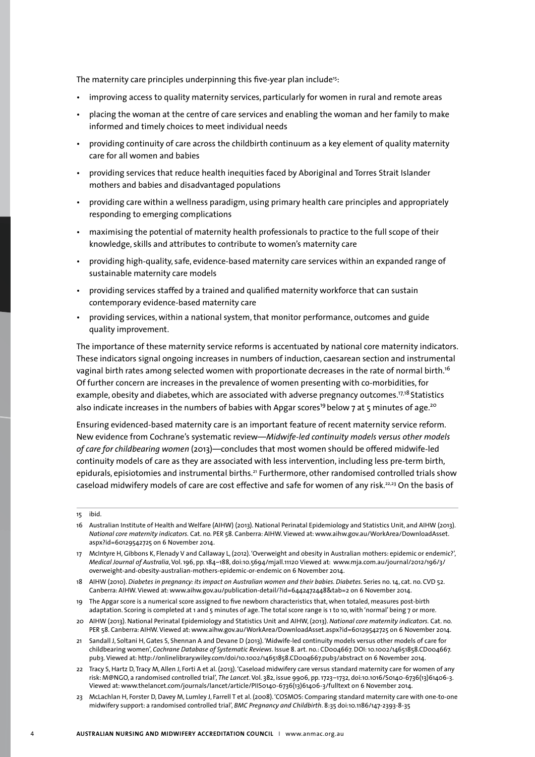The maternity care principles underpinning this five-year plan include<sup>15</sup>:

- improving access to quality maternity services, particularly for women in rural and remote areas
- placing the woman at the centre of care services and enabling the woman and her family to make informed and timely choices to meet individual needs
- providing continuity of care across the childbirth continuum as a key element of quality maternity care for all women and babies
- providing services that reduce health inequities faced by Aboriginal and Torres Strait Islander mothers and babies and disadvantaged populations
- providing care within a wellness paradigm, using primary health care principles and appropriately responding to emerging complications
- maximising the potential of maternity health professionals to practice to the full scope of their knowledge, skills and attributes to contribute to women's maternity care
- providing high-quality, safe, evidence-based maternity care services within an expanded range of sustainable maternity care models
- providing services staffed by a trained and qualified maternity workforce that can sustain contemporary evidence-based maternity care
- providing services, within a national system, that monitor performance, outcomes and guide quality improvement.

The importance of these maternity service reforms is accentuated by national core maternity indicators. These indicators signal ongoing increases in numbers of induction, caesarean section and instrumental vaginal birth rates among selected women with proportionate decreases in the rate of normal birth.<sup>16</sup> Of further concern are increases in the prevalence of women presenting with co-morbidities, for example, obesity and diabetes, which are associated with adverse pregnancy outcomes.<sup>17,18</sup> Statistics also indicate increases in the numbers of babies with Apgar scores<sup>19</sup> below 7 at 5 minutes of age.<sup>20</sup>

Ensuring evidenced-based maternity care is an important feature of recent maternity service reform. New evidence from Cochrane's systematic review—*Midwife-led continuity models versus other models of care for childbearing women* (2013)—concludes that most women should be offered midwife-led continuity models of care as they are associated with less intervention, including less pre-term birth, epidurals, episiotomies and instrumental births.<sup>21</sup> Furthermore, other randomised controlled trials show caseload midwifery models of care are cost effective and safe for women of any risk.<sup>22,23</sup> On the basis of

- 19 The Apgar score is a numerical score assigned to five newborn characteristics that, when totaled, measures post-birth adaptation. Scoring is completed at 1 and 5 minutes of age. The total score range is 1 to 10, with 'normal' being 7 or more.
- 20 AIHW (2013). National Perinatal Epidemiology and Statistics Unit and AIHW, (2013). *National core maternity indicators.* Cat. no. PER 58. Canberra: AIHW. Viewed at: www.aihw.gov.au/WorkArea/DownloadAsset.aspx?id=60129542725 on 6 November 2014.
- 21 Sandall J, Soltani H, Gates S, Shennan A and Devane D (2013). 'Midwife-led continuity models versus other models of care for childbearing women', *Cochrane Database of Systematic Reviews*. Issue 8. art. no.: CD004667. DOI: 10.1002/14651858.CD004667. pub3. Viewed at: http://onlinelibrary.wiley.com/doi/10.1002/14651858.CD004667.pub3/abstract on 6 November 2014.
- 22 Tracy S, Hartz D, Tracy M, Allen J, Forti A et al. (2013). 'Caseload midwifery care versus standard maternity care for women of any risk: M@NGO, a randomised controlled trial', *The Lancet*. Vol. 382, issue 9906, pp. 1723–1732, doi:10.1016/S0140-6736(13)61406-3. Viewed at: www.thelancet.com/journals/lancet/article/PIIS0140-6736(13)61406-3/fulltext on 6 November 2014.
- 23 McLachlan H, Forster D, Davey M, Lumley J, Farrell T et al. (2008). 'COSMOS: Comparing standard maternity care with one-to-one midwifery support: a randomised controlled trial', *BMC Pregnancy and Childbirth*. 8:35 doi:10.1186/147-2393-8-35

<sup>15</sup> ibid.

<sup>16</sup> Australian Institute of Health and Welfare (AIHW) (2013). National Perinatal Epidemiology and Statistics Unit, and AIHW (2013). *National core maternity indicators.* Cat. no. PER 58. Canberra: AIHW. Viewed at: www.aihw.gov.au/WorkArea/DownloadAsset. aspx?id=60129542725 on 6 November 2014.

<sup>17</sup> McIntyre H, Gibbons K, Flenady V and Callaway L, (2012). 'Overweight and obesity in Australian mothers: epidemic or endemic?', *Medical Journal of Australia*, Vol. 196, pp. 184–188, doi:10.5694/mjall.11120 Viewed at: www.mja.com.au/journal/2012/196/3/ overweight-and-obesity-australian-mothers-epidemic-or-endemic on 6 November 2014.

<sup>18</sup> AIHW (2010). *Diabetes in pregnancy: its impact on Australian women and their babies. Diabetes.* Series no. 14, cat. no. CVD 52. Canberra: AIHW. Viewed at: www.aihw.gov.au/publication-detail/?id=6442472448&tab=2 on 6 November 2014.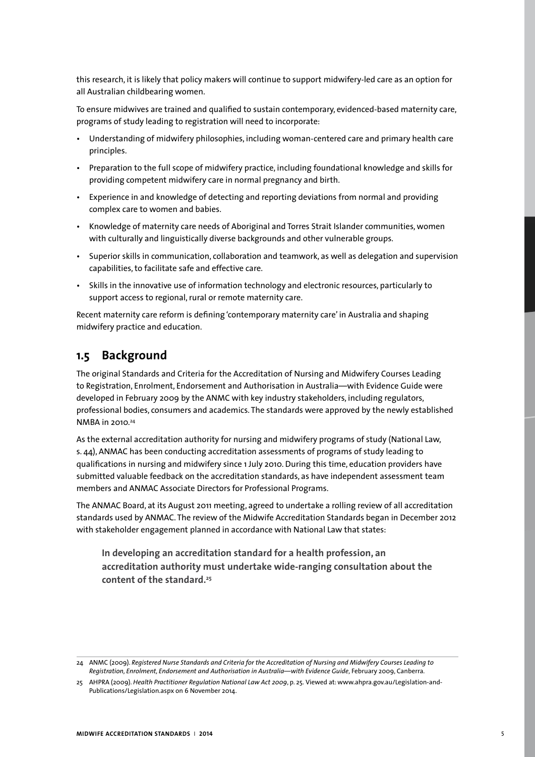this research, it is likely that policy makers will continue to support midwifery-led care as an option for all Australian childbearing women.

To ensure midwives are trained and qualified to sustain contemporary, evidenced-based maternity care, programs of study leading to registration will need to incorporate:

- Understanding of midwifery philosophies, including woman-centered care and primary health care principles.
- Preparation to the full scope of midwifery practice, including foundational knowledge and skills for providing competent midwifery care in normal pregnancy and birth.
- Experience in and knowledge of detecting and reporting deviations from normal and providing complex care to women and babies.
- Knowledge of maternity care needs of Aboriginal and Torres Strait Islander communities, women with culturally and linguistically diverse backgrounds and other vulnerable groups.
- Superior skills in communication, collaboration and teamwork, as well as delegation and supervision capabilities, to facilitate safe and effective care.
- Skills in the innovative use of information technology and electronic resources, particularly to support access to regional, rural or remote maternity care.

Recent maternity care reform is defining 'contemporary maternity care' in Australia and shaping midwifery practice and education.

## **1.5 Background**

The original Standards and Criteria for the Accreditation of Nursing and Midwifery Courses Leading to Registration, Enrolment, Endorsement and Authorisation in Australia—with Evidence Guide were developed in February 2009 by the ANMC with key industry stakeholders, including regulators, professional bodies, consumers and academics. The standards were approved by the newly established NMBA in 2010.24

As the external accreditation authority for nursing and midwifery programs of study (National Law, s. 44), ANMAC has been conducting accreditation assessments of programs of study leading to qualifications in nursing and midwifery since 1 July 2010. During this time, education providers have submitted valuable feedback on the accreditation standards, as have independent assessment team members and ANMAC Associate Directors for Professional Programs.

The ANMAC Board, at its August 2011 meeting, agreed to undertake a rolling review of all accreditation standards used by ANMAC. The review of the Midwife Accreditation Standards began in December 2012 with stakeholder engagement planned in accordance with National Law that states:

**In developing an accreditation standard for a health profession, an accreditation authority must undertake wide-ranging consultation about the content of the standard.25**

<sup>24</sup> ANMC (2009). *Registered Nurse Standards and Criteria for the Accreditation of Nursing and Midwifery Courses Leading to Registration, Enrolment, Endorsement and Authorisation in Australia—with Evidence Guide*, February 2009, Canberra.

<sup>25</sup> AHPRA (2009). *Health Practitioner Regulation National Law Act 2009*, p. 25. Viewed at: www.ahpra.gov.au/Legislation-and-Publications/Legislation.aspx on 6 November 2014.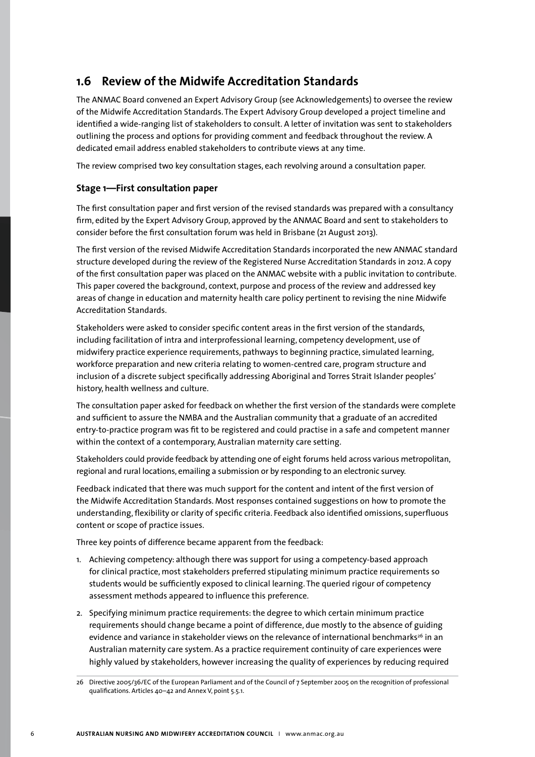# **1.6 Review of the Midwife Accreditation Standards**

The ANMAC Board convened an Expert Advisory Group (see Acknowledgements) to oversee the review of the Midwife Accreditation Standards. The Expert Advisory Group developed a project timeline and identified a wide-ranging list of stakeholders to consult. A letter of invitation was sent to stakeholders outlining the process and options for providing comment and feedback throughout the review. A dedicated email address enabled stakeholders to contribute views at any time.

The review comprised two key consultation stages, each revolving around a consultation paper.

### **Stage 1—First consultation paper**

The first consultation paper and first version of the revised standards was prepared with a consultancy firm, edited by the Expert Advisory Group, approved by the ANMAC Board and sent to stakeholders to consider before the first consultation forum was held in Brisbane (21 August 2013).

The first version of the revised Midwife Accreditation Standards incorporated the new ANMAC standard structure developed during the review of the Registered Nurse Accreditation Standards in 2012. A copy of the first consultation paper was placed on the ANMAC website with a public invitation to contribute. This paper covered the background, context, purpose and process of the review and addressed key areas of change in education and maternity health care policy pertinent to revising the nine Midwife Accreditation Standards.

Stakeholders were asked to consider specific content areas in the first version of the standards, including facilitation of intra and interprofessional learning, competency development, use of midwifery practice experience requirements, pathways to beginning practice, simulated learning, workforce preparation and new criteria relating to women-centred care, program structure and inclusion of a discrete subject specifically addressing Aboriginal and Torres Strait Islander peoples' history, health wellness and culture.

The consultation paper asked for feedback on whether the first version of the standards were complete and sufficient to assure the NMBA and the Australian community that a graduate of an accredited entry-to-practice program was fit to be registered and could practise in a safe and competent manner within the context of a contemporary, Australian maternity care setting.

Stakeholders could provide feedback by attending one of eight forums held across various metropolitan, regional and rural locations, emailing a submission or by responding to an electronic survey.

Feedback indicated that there was much support for the content and intent of the first version of the Midwife Accreditation Standards. Most responses contained suggestions on how to promote the understanding, flexibility or clarity of specific criteria. Feedback also identified omissions, superfluous content or scope of practice issues.

Three key points of difference became apparent from the feedback:

- 1. Achieving competency: although there was support for using a competency-based approach for clinical practice, most stakeholders preferred stipulating minimum practice requirements so students would be sufficiently exposed to clinical learning. The queried rigour of competency assessment methods appeared to influence this preference.
- 2. Specifying minimum practice requirements: the degree to which certain minimum practice requirements should change became a point of difference, due mostly to the absence of guiding evidence and variance in stakeholder views on the relevance of international benchmarks<sup>26</sup> in an Australian maternity care system. As a practice requirement continuity of care experiences were highly valued by stakeholders, however increasing the quality of experiences by reducing required

<sup>26</sup> Directive 2005/36/EC of the European Parliament and of the Council of 7 September 2005 on the recognition of professional qualifications. Articles 40–42 and Annex V, point 5.5.1.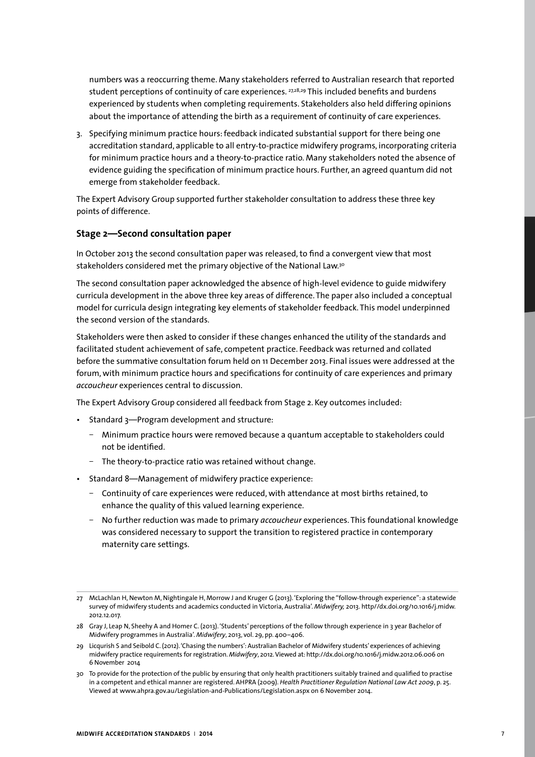numbers was a reoccurring theme. Many stakeholders referred to Australian research that reported student perceptions of continuity of care experiences. <sup>27,28,29</sup> This included benefits and burdens experienced by students when completing requirements. Stakeholders also held differing opinions about the importance of attending the birth as a requirement of continuity of care experiences.

3. Specifying minimum practice hours: feedback indicated substantial support for there being one accreditation standard, applicable to all entry-to-practice midwifery programs, incorporating criteria for minimum practice hours and a theory-to-practice ratio. Many stakeholders noted the absence of evidence guiding the specification of minimum practice hours. Further, an agreed quantum did not emerge from stakeholder feedback.

The Expert Advisory Group supported further stakeholder consultation to address these three key points of difference.

## **Stage 2—Second consultation paper**

In October 2013 the second consultation paper was released, to find a convergent view that most stakeholders considered met the primary objective of the National Law.30

The second consultation paper acknowledged the absence of high-level evidence to guide midwifery curricula development in the above three key areas of difference. The paper also included a conceptual model for curricula design integrating key elements of stakeholder feedback. This model underpinned the second version of the standards.

Stakeholders were then asked to consider if these changes enhanced the utility of the standards and facilitated student achievement of safe, competent practice. Feedback was returned and collated before the summative consultation forum held on 11 December 2013. Final issues were addressed at the forum, with minimum practice hours and specifications for continuity of care experiences and primary *accoucheur* experiences central to discussion.

The Expert Advisory Group considered all feedback from Stage 2. Key outcomes included:

- Standard 3—Program development and structure:
	- Minimum practice hours were removed because a quantum acceptable to stakeholders could not be identified.
	- The theory-to-practice ratio was retained without change.
- Standard 8—Management of midwifery practice experience:
	- Continuity of care experiences were reduced, with attendance at most births retained, to enhance the quality of this valued learning experience.
	- ū No further reduction was made to primary *accoucheur* experiences. This foundational knowledge was considered necessary to support the transition to registered practice in contemporary maternity care settings.

<sup>27</sup> McLachlan H, Newton M, Nightingale H, Morrow J and Kruger G (2013). 'Exploring the "follow-through experience": a statewide survey of midwifery students and academics conducted in Victoria, Australia'. *Midwifery,* 2013. http//dx.doi.org/10.1016/j.midw. 2012.12.017.

<sup>28</sup> Gray J, Leap N, Sheehy A and Homer C. (2013). 'Students' perceptions of the follow through experience in 3 year Bachelor of Midwifery programmes in Australia'. *Midwifery*, 2013, vol. 29, pp. 400–406.

<sup>29</sup> Licqurish S and Seibold C. (2012). 'Chasing the numbers': Australian Bachelor of Midwifery students' experiences of achieving midwifery practice requirements for registration. *Midwifery*, 2012. Viewed at: http://dx.doi.org/10.1016/j.midw.2012.06.006 on 6 November 2014

<sup>30</sup> To provide for the protection of the public by ensuring that only health practitioners suitably trained and qualified to practise in a competent and ethical manner are registered. AHPRA (2009). *Health Practitioner Regulation National Law Act 2009*, p. 25. Viewed at www.ahpra.gov.au/Legislation-and-Publications/Legislation.aspx on 6 November 2014.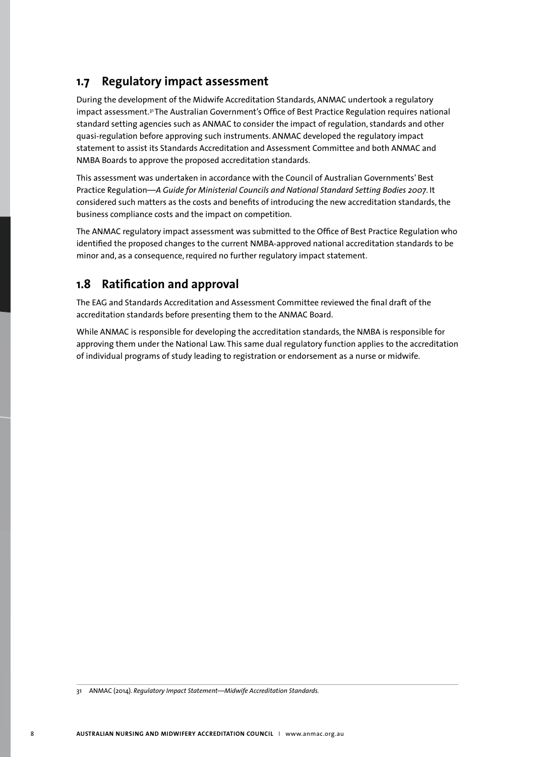# **1.7 Regulatory impact assessment**

During the development of the Midwife Accreditation Standards, ANMAC undertook a regulatory impact assessment.<sup>31</sup> The Australian Government's Office of Best Practice Regulation requires national standard setting agencies such as ANMAC to consider the impact of regulation, standards and other quasi-regulation before approving such instruments. ANMAC developed the regulatory impact statement to assist its Standards Accreditation and Assessment Committee and both ANMAC and NMBA Boards to approve the proposed accreditation standards.

This assessment was undertaken in accordance with the Council of Australian Governments' Best Practice Regulation—*A Guide for Ministerial Councils and National Standard Setting Bodies 2007*. It considered such matters as the costs and benefits of introducing the new accreditation standards, the business compliance costs and the impact on competition.

The ANMAC regulatory impact assessment was submitted to the Office of Best Practice Regulation who identified the proposed changes to the current NMBA-approved national accreditation standards to be minor and, as a consequence, required no further regulatory impact statement.

# **1.8 Ratification and approval**

The EAG and Standards Accreditation and Assessment Committee reviewed the final draft of the accreditation standards before presenting them to the ANMAC Board.

While ANMAC is responsible for developing the accreditation standards, the NMBA is responsible for approving them under the National Law. This same dual regulatory function applies to the accreditation of individual programs of study leading to registration or endorsement as a nurse or midwife.

<sup>31</sup> ANMAC (2014). *Regulatory Impact Statement—Midwife Accreditation Standards.*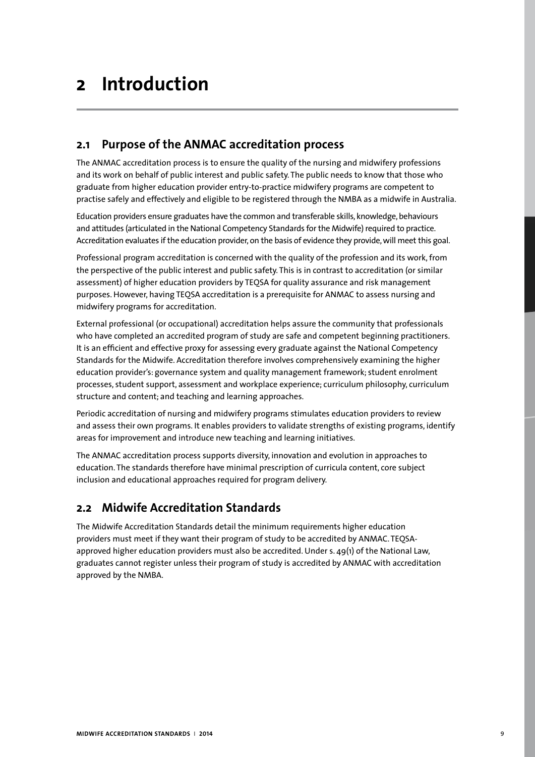# **2 Introduction**

# **2.1 Purpose of the ANMAC accreditation process**

The ANMAC accreditation process is to ensure the quality of the nursing and midwifery professions and its work on behalf of public interest and public safety. The public needs to know that those who graduate from higher education provider entry-to-practice midwifery programs are competent to practise safely and effectively and eligible to be registered through the NMBA as a midwife in Australia.

Education providers ensure graduates have the common and transferable skills, knowledge, behaviours and attitudes (articulated in the National Competency Standards for the Midwife) required to practice. Accreditation evaluates if the education provider, on the basis of evidence they provide, will meet this goal.

Professional program accreditation is concerned with the quality of the profession and its work, from the perspective of the public interest and public safety. This is in contrast to accreditation (or similar assessment) of higher education providers by TEQSA for quality assurance and risk management purposes. However, having TEQSA accreditation is a prerequisite for ANMAC to assess nursing and midwifery programs for accreditation.

External professional (or occupational) accreditation helps assure the community that professionals who have completed an accredited program of study are safe and competent beginning practitioners. It is an efficient and effective proxy for assessing every graduate against the National Competency Standards for the Midwife. Accreditation therefore involves comprehensively examining the higher education provider's: governance system and quality management framework; student enrolment processes, student support, assessment and workplace experience; curriculum philosophy, curriculum structure and content; and teaching and learning approaches.

Periodic accreditation of nursing and midwifery programs stimulates education providers to review and assess their own programs. It enables providers to validate strengths of existing programs, identify areas for improvement and introduce new teaching and learning initiatives.

The ANMAC accreditation process supports diversity, innovation and evolution in approaches to education. The standards therefore have minimal prescription of curricula content, core subject inclusion and educational approaches required for program delivery.

# **2.2 Midwife Accreditation Standards**

The Midwife Accreditation Standards detail the minimum requirements higher education providers must meet if they want their program of study to be accredited by ANMAC. TEQSAapproved higher education providers must also be accredited. Under s. 49(1) of the National Law, graduates cannot register unless their program of study is accredited by ANMAC with accreditation approved by the NMBA.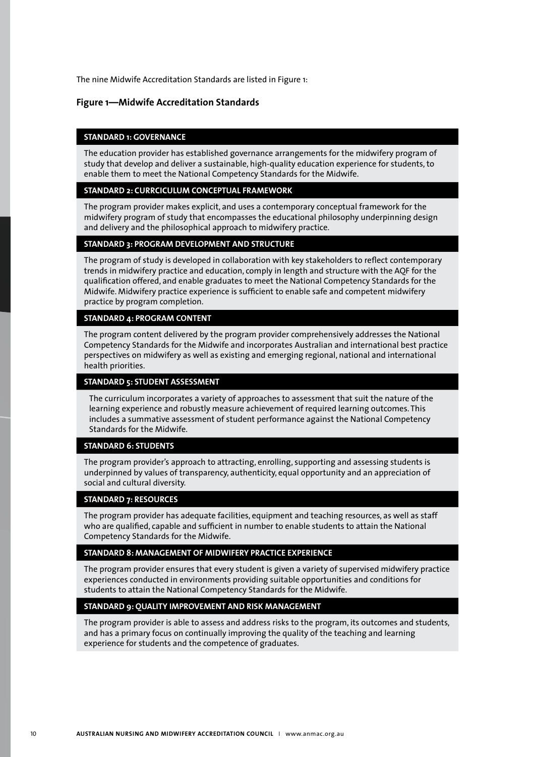The nine Midwife Accreditation Standards are listed in Figure 1:

#### **Figure 1—Midwife Accreditation Standards**

### **STANDARD 1: GOVERNANCE**

The education provider has established governance arrangements for the midwifery program of study that develop and deliver a sustainable, high-quality education experience for students, to enable them to meet the National Competency Standards for the Midwife.

#### **STANDARD 2: CURRCICULUM CONCEPTUAL FRAMEWORK**

The program provider makes explicit, and uses a contemporary conceptual framework for the midwifery program of study that encompasses the educational philosophy underpinning design and delivery and the philosophical approach to midwifery practice.

### **STANDARD 3: PROGRAM DEVELOPMENT AND STRUCTURE**

The program of study is developed in collaboration with key stakeholders to reflect contemporary trends in midwifery practice and education, comply in length and structure with the AQF for the qualification offered, and enable graduates to meet the National Competency Standards for the Midwife. Midwifery practice experience is sufficient to enable safe and competent midwifery practice by program completion.

### **STANDARD 4: PROGRAM CONTENT**

The program content delivered by the program provider comprehensively addresses the National Competency Standards for the Midwife and incorporates Australian and international best practice perspectives on midwifery as well as existing and emerging regional, national and international health priorities.

#### **STANDARD 5: STUDENT ASSESSMENT**

The curriculum incorporates a variety of approaches to assessment that suit the nature of the learning experience and robustly measure achievement of required learning outcomes. This includes a summative assessment of student performance against the National Competency Standards for the Midwife.

#### **STANDARD 6: STUDENTS**

The program provider's approach to attracting, enrolling, supporting and assessing students is underpinned by values of transparency, authenticity, equal opportunity and an appreciation of social and cultural diversity.

### **STANDARD 7: RESOURCES**

The program provider has adequate facilities, equipment and teaching resources, as well as staff who are qualified, capable and sufficient in number to enable students to attain the National Competency Standards for the Midwife.

#### **STANDARD 8: MANAGEMENT OF MIDWIFERY PRACTICE EXPERIENCE**

The program provider ensures that every student is given a variety of supervised midwifery practice experiences conducted in environments providing suitable opportunities and conditions for students to attain the National Competency Standards for the Midwife.

## **STANDARD 9: QUALITY IMPROVEMENT AND RISK MANAGEMENT**

The program provider is able to assess and address risks to the program, its outcomes and students, and has a primary focus on continually improving the quality of the teaching and learning experience for students and the competence of graduates.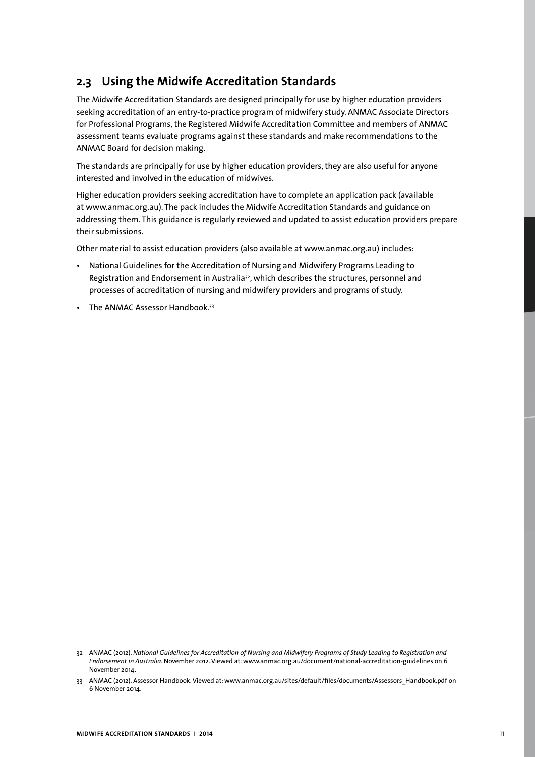# **2.3 Using the Midwife Accreditation Standards**

The Midwife Accreditation Standards are designed principally for use by higher education providers seeking accreditation of an entry-to-practice program of midwifery study. ANMAC Associate Directors for Professional Programs, the Registered Midwife Accreditation Committee and members of ANMAC assessment teams evaluate programs against these standards and make recommendations to the ANMAC Board for decision making.

The standards are principally for use by higher education providers, they are also useful for anyone interested and involved in the education of midwives.

Higher education providers seeking accreditation have to complete an application pack (available at www.anmac.org.au). The pack includes the Midwife Accreditation Standards and guidance on addressing them. This guidance is regularly reviewed and updated to assist education providers prepare their submissions.

Other material to assist education providers (also available at www.anmac.org.au) includes:

- National Guidelines for the Accreditation of Nursing and Midwifery Programs Leading to Registration and Endorsement in Australia<sup>32</sup>, which describes the structures, personnel and processes of accreditation of nursing and midwifery providers and programs of study.
- The ANMAC Assessor Handbook.<sup>33</sup>

<sup>32</sup> ANMAC (2012). *National Guidelines for Accreditation of Nursing and Midwifery Programs of Study Leading to Registration and Endorsement in Australia*. November 2012. Viewed at: www.anmac.org.au/document/national-accreditation-guidelines on 6 November 2014.

<sup>33</sup> ANMAC (2012). Assessor Handbook. Viewed at: www.anmac.org.au/sites/default/files/documents/Assessors\_Handbook.pdf on 6 November 2014.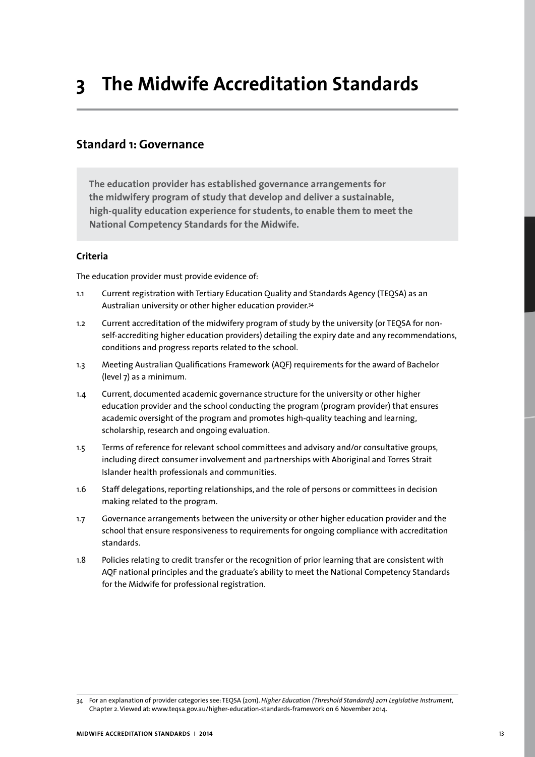# **Standard 1: Governance**

**The education provider has established governance arrangements for the midwifery program of study that develop and deliver a sustainable, high-quality education experience for students, to enable them to meet the National Competency Standards for the Midwife.** 

## **Criteria**

The education provider must provide evidence of:

- 1.1 Current registration with Tertiary Education Quality and Standards Agency (TEQSA) as an Australian university or other higher education provider.34
- 1.2 Current accreditation of the midwifery program of study by the university (or TEQSA for nonself-accrediting higher education providers) detailing the expiry date and any recommendations, conditions and progress reports related to the school.
- 1.3 Meeting Australian Qualifications Framework (AQF) requirements for the award of Bachelor (level 7) as a minimum.
- 1.4 Current, documented academic governance structure for the university or other higher education provider and the school conducting the program (program provider) that ensures academic oversight of the program and promotes high-quality teaching and learning, scholarship, research and ongoing evaluation.
- 1.5 Terms of reference for relevant school committees and advisory and/or consultative groups, including direct consumer involvement and partnerships with Aboriginal and Torres Strait Islander health professionals and communities.
- 1.6 Staff delegations, reporting relationships, and the role of persons or committees in decision making related to the program.
- 1.7 Governance arrangements between the university or other higher education provider and the school that ensure responsiveness to requirements for ongoing compliance with accreditation standards.
- 1.8 Policies relating to credit transfer or the recognition of prior learning that are consistent with AQF national principles and the graduate's ability to meet the National Competency Standards for the Midwife for professional registration.

<sup>34</sup> For an explanation of provider categories see: TEQSA (2011). *Higher Education (Threshold Standards) 2011 Legislative Instrument*, Chapter 2. Viewed at: www.teqsa.gov.au/higher-education-standards-framework on 6 November 2014.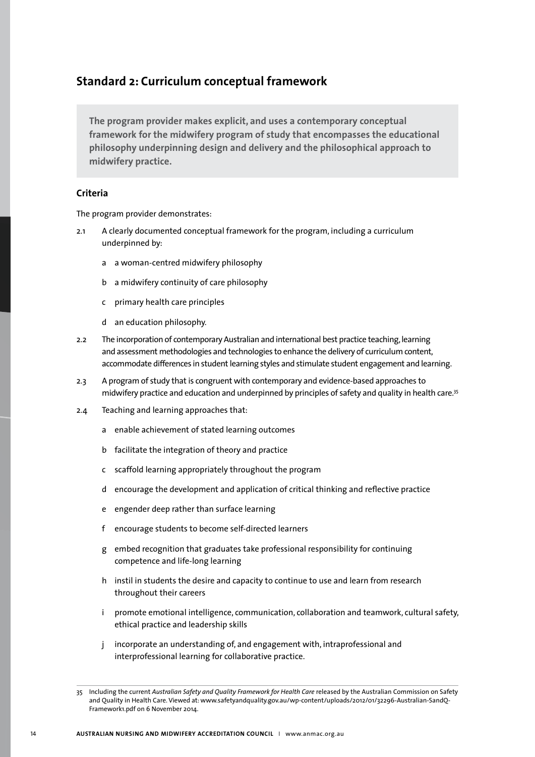# **Standard 2: Curriculum conceptual framework**

**The program provider makes explicit, and uses a contemporary conceptual framework for the midwifery program of study that encompasses the educational philosophy underpinning design and delivery and the philosophical approach to midwifery practice.** 

## **Criteria**

- 2.1 A clearly documented conceptual framework for the program, including a curriculum underpinned by:
	- a a woman-centred midwifery philosophy
	- b a midwifery continuity of care philosophy
	- c primary health care principles
	- d an education philosophy.
- 2.2 The incorporation of contemporary Australian and international best practice teaching, learning and assessment methodologies and technologies to enhance the delivery of curriculum content, accommodate differences in student learning styles and stimulate student engagement and learning.
- 2.3 A program of study that is congruent with contemporary and evidence-based approaches to midwifery practice and education and underpinned by principles of safety and quality in health care.35
- 2.4 Teaching and learning approaches that:
	- a enable achievement of stated learning outcomes
	- b facilitate the integration of theory and practice
	- c scaffold learning appropriately throughout the program
	- d encourage the development and application of critical thinking and reflective practice
	- e engender deep rather than surface learning
	- f encourage students to become self-directed learners
	- g embed recognition that graduates take professional responsibility for continuing competence and life-long learning
	- h instil in students the desire and capacity to continue to use and learn from research throughout their careers
	- i promote emotional intelligence, communication, collaboration and teamwork, cultural safety, ethical practice and leadership skills
	- j incorporate an understanding of, and engagement with, intraprofessional and interprofessional learning for collaborative practice.

<sup>35</sup> Including the current *Australian Safety and Quality Framework for Health Care* released by the Australian Commission on Safety and Quality in Health Care. Viewed at: www.safetyandquality.gov.au/wp-content/uploads/2012/01/32296-Australian-SandQ-Framework1.pdf on 6 November 2014.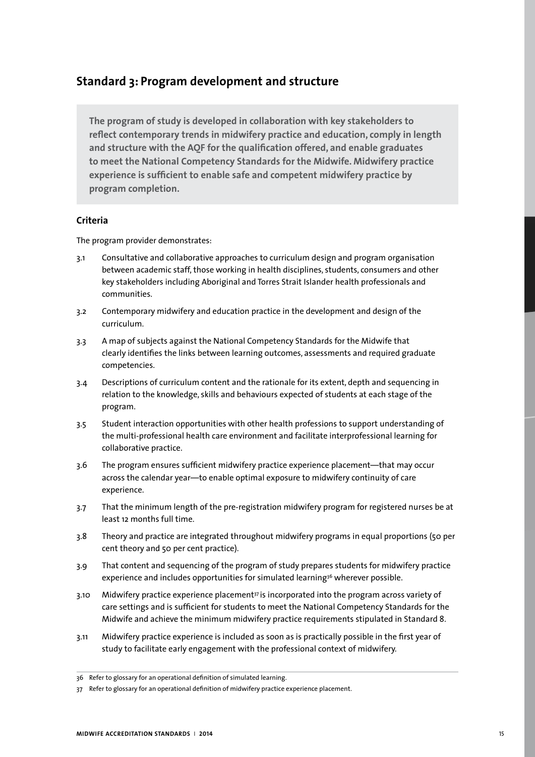# **Standard 3: Program development and structure**

**The program of study is developed in collaboration with key stakeholders to reflect contemporary trends in midwifery practice and education, comply in length and structure with the AQF for the qualification offered, and enable graduates to meet the National Competency Standards for the Midwife. Midwifery practice experience is sufficient to enable safe and competent midwifery practice by program completion.** 

## **Criteria**

- 3.1 Consultative and collaborative approaches to curriculum design and program organisation between academic staff, those working in health disciplines, students, consumers and other key stakeholders including Aboriginal and Torres Strait Islander health professionals and communities.
- 3.2 Contemporary midwifery and education practice in the development and design of the curriculum.
- 3.3 A map of subjects against the National Competency Standards for the Midwife that clearly identifies the links between learning outcomes, assessments and required graduate competencies.
- 3.4 Descriptions of curriculum content and the rationale for its extent, depth and sequencing in relation to the knowledge, skills and behaviours expected of students at each stage of the program.
- 3.5 Student interaction opportunities with other health professions to support understanding of the multi-professional health care environment and facilitate interprofessional learning for collaborative practice.
- 3.6 The program ensures sufficient midwifery practice experience placement—that may occur across the calendar year—to enable optimal exposure to midwifery continuity of care experience.
- 3.7 That the minimum length of the pre-registration midwifery program for registered nurses be at least 12 months full time.
- 3.8 Theory and practice are integrated throughout midwifery programs in equal proportions (50 per cent theory and 50 per cent practice).
- 3.9 That content and sequencing of the program of study prepares students for midwifery practice experience and includes opportunities for simulated learning<sup>36</sup> wherever possible.
- 3.10 Midwifery practice experience placement<sup>37</sup> is incorporated into the program across variety of care settings and is sufficient for students to meet the National Competency Standards for the Midwife and achieve the minimum midwifery practice requirements stipulated in Standard 8.
- 3.11 Midwifery practice experience is included as soon as is practically possible in the first year of study to facilitate early engagement with the professional context of midwifery.

<sup>36</sup> Refer to glossary for an operational definition of simulated learning.

<sup>37</sup> Refer to glossary for an operational definition of midwifery practice experience placement.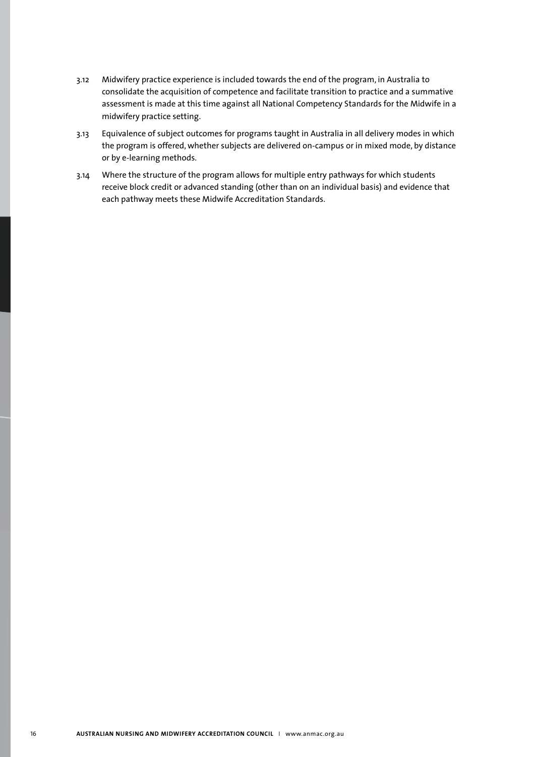- 3.12 Midwifery practice experience is included towards the end of the program, in Australia to consolidate the acquisition of competence and facilitate transition to practice and a summative assessment is made at this time against all National Competency Standards for the Midwife in a midwifery practice setting.
- 3.13 Equivalence of subject outcomes for programs taught in Australia in all delivery modes in which the program is offered, whether subjects are delivered on-campus or in mixed mode, by distance or by e-learning methods.
- 3.14 Where the structure of the program allows for multiple entry pathways for which students receive block credit or advanced standing (other than on an individual basis) and evidence that each pathway meets these Midwife Accreditation Standards.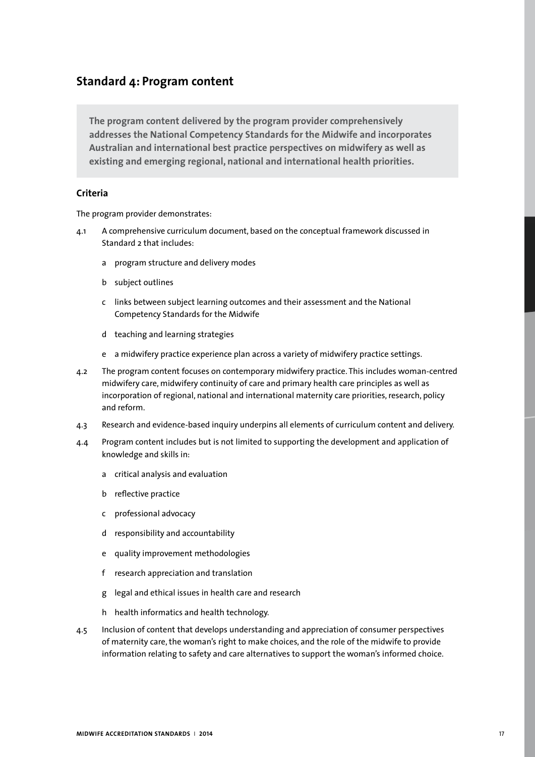# **Standard 4: Program content**

**The program content delivered by the program provider comprehensively addresses the National Competency Standards for the Midwife and incorporates Australian and international best practice perspectives on midwifery as well as existing and emerging regional, national and international health priorities.** 

## **Criteria**

- 4.1 A comprehensive curriculum document, based on the conceptual framework discussed in Standard 2 that includes:
	- a program structure and delivery modes
	- b subject outlines
	- c links between subject learning outcomes and their assessment and the National Competency Standards for the Midwife
	- d teaching and learning strategies
	- e a midwifery practice experience plan across a variety of midwifery practice settings.
- 4.2 The program content focuses on contemporary midwifery practice. This includes woman-centred midwifery care, midwifery continuity of care and primary health care principles as well as incorporation of regional, national and international maternity care priorities, research, policy and reform.
- 4.3 Research and evidence-based inquiry underpins all elements of curriculum content and delivery.
- 4.4 Program content includes but is not limited to supporting the development and application of knowledge and skills in:
	- a critical analysis and evaluation
	- b reflective practice
	- c professional advocacy
	- d responsibility and accountability
	- e quality improvement methodologies
	- f research appreciation and translation
	- g legal and ethical issues in health care and research
	- h health informatics and health technology.
- 4.5 Inclusion of content that develops understanding and appreciation of consumer perspectives of maternity care, the woman's right to make choices, and the role of the midwife to provide information relating to safety and care alternatives to support the woman's informed choice.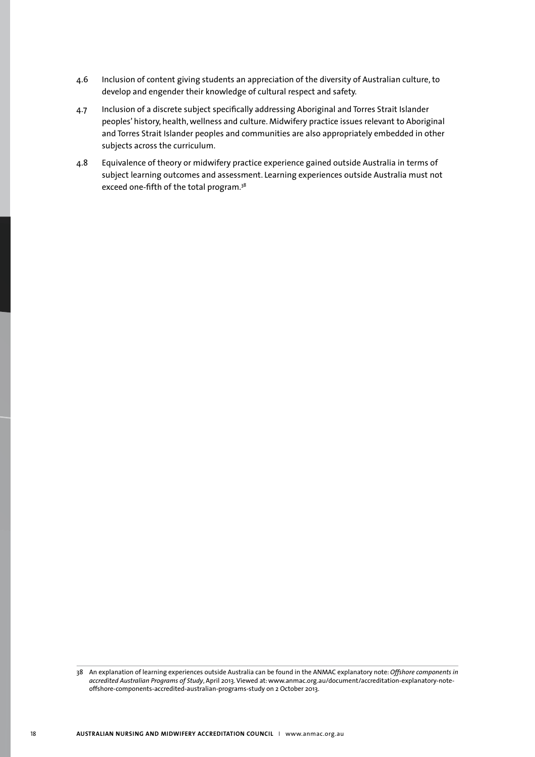- 4.6 Inclusion of content giving students an appreciation of the diversity of Australian culture, to develop and engender their knowledge of cultural respect and safety.
- 4.7 Inclusion of a discrete subject specifically addressing Aboriginal and Torres Strait Islander peoples' history, health, wellness and culture. Midwifery practice issues relevant to Aboriginal and Torres Strait Islander peoples and communities are also appropriately embedded in other subjects across the curriculum.
- 4.8 Equivalence of theory or midwifery practice experience gained outside Australia in terms of subject learning outcomes and assessment. Learning experiences outside Australia must not exceed one-fifth of the total program.<sup>38</sup>

<sup>38</sup> An explanation of learning experiences outside Australia can be found in the ANMAC explanatory note: *Offshore components in accredited Australian Programs of Study*, April 2013. Viewed at: www.anmac.org.au/document/accreditation-explanatory-noteoffshore-components-accredited-australian-programs-study on 2 October 2013.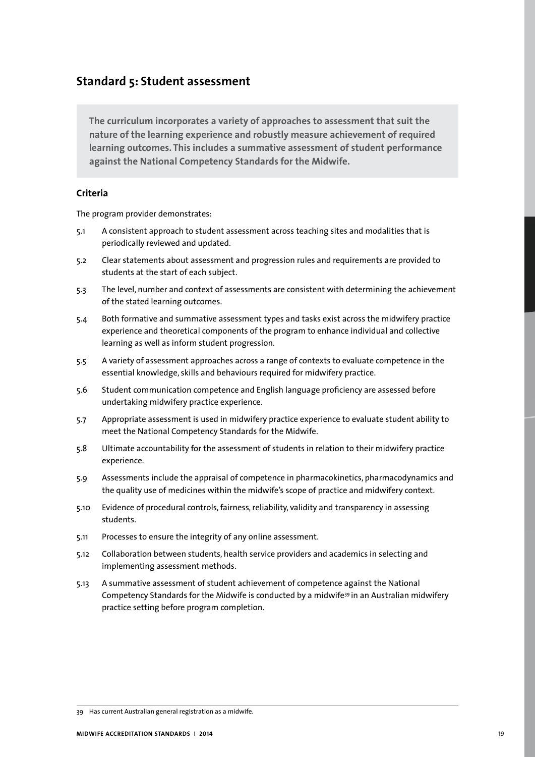## **Standard 5: Student assessment**

**The curriculum incorporates a variety of approaches to assessment that suit the nature of the learning experience and robustly measure achievement of required learning outcomes. This includes a summative assessment of student performance against the National Competency Standards for the Midwife.** 

## **Criteria**

- 5.1 A consistent approach to student assessment across teaching sites and modalities that is periodically reviewed and updated.
- 5.2 Clear statements about assessment and progression rules and requirements are provided to students at the start of each subject.
- 5.3 The level, number and context of assessments are consistent with determining the achievement of the stated learning outcomes.
- 5.4 Both formative and summative assessment types and tasks exist across the midwifery practice experience and theoretical components of the program to enhance individual and collective learning as well as inform student progression.
- 5.5 A variety of assessment approaches across a range of contexts to evaluate competence in the essential knowledge, skills and behaviours required for midwifery practice.
- 5.6 Student communication competence and English language proficiency are assessed before undertaking midwifery practice experience.
- 5.7 Appropriate assessment is used in midwifery practice experience to evaluate student ability to meet the National Competency Standards for the Midwife.
- 5.8 Ultimate accountability for the assessment of students in relation to their midwifery practice experience.
- 5.9 Assessments include the appraisal of competence in pharmacokinetics, pharmacodynamics and the quality use of medicines within the midwife's scope of practice and midwifery context.
- 5.10 Evidence of procedural controls, fairness, reliability, validity and transparency in assessing students.
- 5.11 Processes to ensure the integrity of any online assessment.
- 5.12 Collaboration between students, health service providers and academics in selecting and implementing assessment methods.
- 5.13 A summative assessment of student achievement of competence against the National Competency Standards for the Midwife is conducted by a midwife<sup>39</sup> in an Australian midwifery practice setting before program completion.

<sup>39</sup> Has current Australian general registration as a midwife.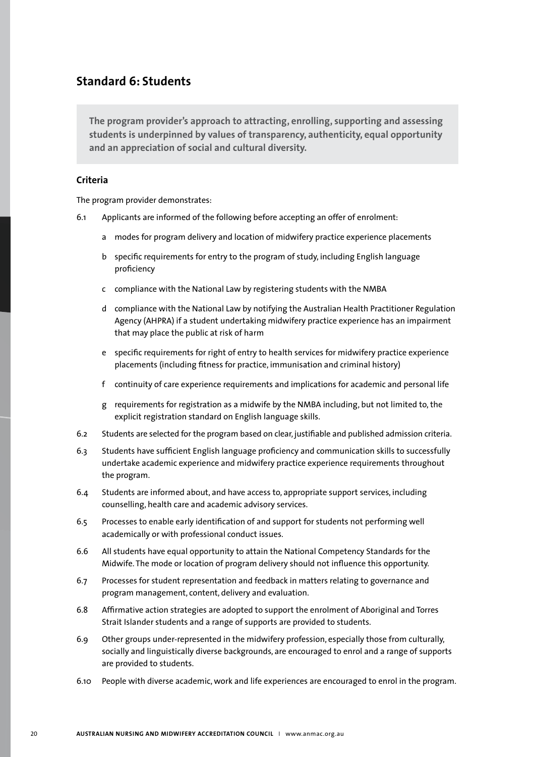## **Standard 6: Students**

**The program provider's approach to attracting, enrolling, supporting and assessing students is underpinned by values of transparency, authenticity, equal opportunity and an appreciation of social and cultural diversity.** 

## **Criteria**

- 6.1 Applicants are informed of the following before accepting an offer of enrolment:
	- a modes for program delivery and location of midwifery practice experience placements
	- b specific requirements for entry to the program of study, including English language proficiency
	- c compliance with the National Law by registering students with the NMBA
	- d compliance with the National Law by notifying the Australian Health Practitioner Regulation Agency (AHPRA) if a student undertaking midwifery practice experience has an impairment that may place the public at risk of harm
	- e specific requirements for right of entry to health services for midwifery practice experience placements (including fitness for practice, immunisation and criminal history)
	- f continuity of care experience requirements and implications for academic and personal life
	- g requirements for registration as a midwife by the NMBA including, but not limited to, the explicit registration standard on English language skills.
- 6.2 Students are selected for the program based on clear, justifiable and published admission criteria.
- 6.3 Students have sufficient English language proficiency and communication skills to successfully undertake academic experience and midwifery practice experience requirements throughout the program.
- 6.4 Students are informed about, and have access to, appropriate support services, including counselling, health care and academic advisory services.
- 6.5 Processes to enable early identification of and support for students not performing well academically or with professional conduct issues.
- 6.6 All students have equal opportunity to attain the National Competency Standards for the Midwife. The mode or location of program delivery should not influence this opportunity.
- 6.7 Processes for student representation and feedback in matters relating to governance and program management, content, delivery and evaluation.
- 6.8 Affirmative action strategies are adopted to support the enrolment of Aboriginal and Torres Strait Islander students and a range of supports are provided to students.
- 6.9 Other groups under-represented in the midwifery profession, especially those from culturally, socially and linguistically diverse backgrounds, are encouraged to enrol and a range of supports are provided to students.
- 6.10 People with diverse academic, work and life experiences are encouraged to enrol in the program.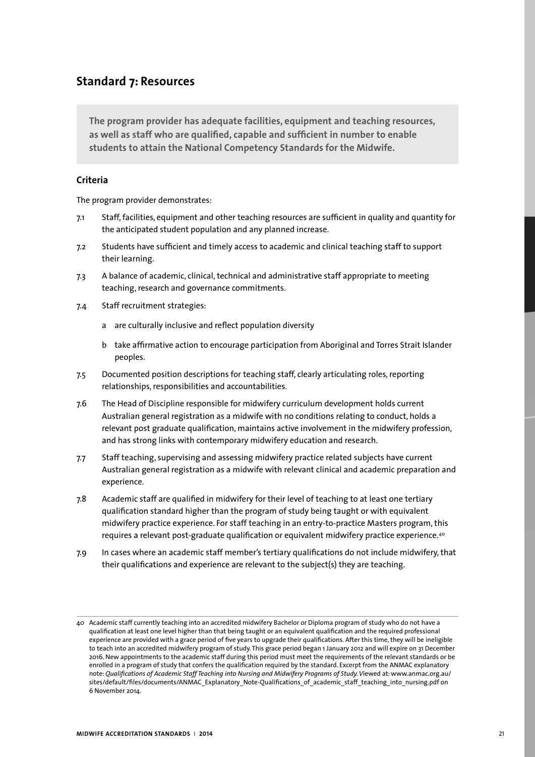# **Standard 7: Resources**

**The program provider has adequate facilities, equipment and teaching resources, as well as staff who are qualified, capable and sufficient in number to enable students to attain the National Competency Standards for the Midwife.** 

## **Criteria**

- 7.1 Staff, facilities, equipment and other teaching resources are sufficient in quality and quantity for the anticipated student population and any planned increase.
- 7.2 Students have sufficient and timely access to academic and clinical teaching staff to support their learning.
- 7.3 A balance of academic, clinical, technical and administrative staff appropriate to meeting teaching, research and governance commitments.
- 7.4 Staff recruitment strategies:
	- a are culturally inclusive and reflect population diversity
	- b take affirmative action to encourage participation from Aboriginal and Torres Strait Islander peoples.
- 7.5 Documented position descriptions for teaching staff, clearly articulating roles, reporting relationships, responsibilities and accountabilities.
- 7.6 The Head of Discipline responsible for midwifery curriculum development holds current Australian general registration as a midwife with no conditions relating to conduct, holds a relevant post graduate qualification, maintains active involvement in the midwifery profession, and has strong links with contemporary midwifery education and research.
- 7.7 Staff teaching, supervising and assessing midwifery practice related subjects have current Australian general registration as a midwife with relevant clinical and academic preparation and experience.
- 7.8 Academic staff are qualified in midwifery for their level of teaching to at least one tertiary qualification standard higher than the program of study being taught or with equivalent midwifery practice experience. For staff teaching in an entry-to-practice Masters program, this requires a relevant post-graduate qualification or equivalent midwifery practice experience.40
- 7.9 In cases where an academic staff member's tertiary qualifications do not include midwifery, that their qualifications and experience are relevant to the subject(s) they are teaching.

<sup>40</sup> Academic staff currently teaching into an accredited midwifery Bachelor or Diploma program of study who do not have a qualification at least one level higher than that being taught or an equivalent qualification and the required professional experience are provided with a grace period of five years to upgrade their qualifications. After this time, they will be ineligible to teach into an accredited midwifery program of study. This grace period began 1 January 2012 and will expire on 31 December 2016. New appointments to the academic staff during this period must meet the requirements of the relevant standards or be enrolled in a program of study that confers the qualification required by the standard. Excerpt from the ANMAC explanatory note: *Qualifications of Academic Staff Teaching into Nursing and Midwifery Programs of Study. V*iewed at: www.anmac.org.au/ sites/default/files/documents/ANMAC\_Explanatory\_Note-Qualifications\_of\_academic\_staff\_teaching\_into\_nursing.pdf on 6 November 2014.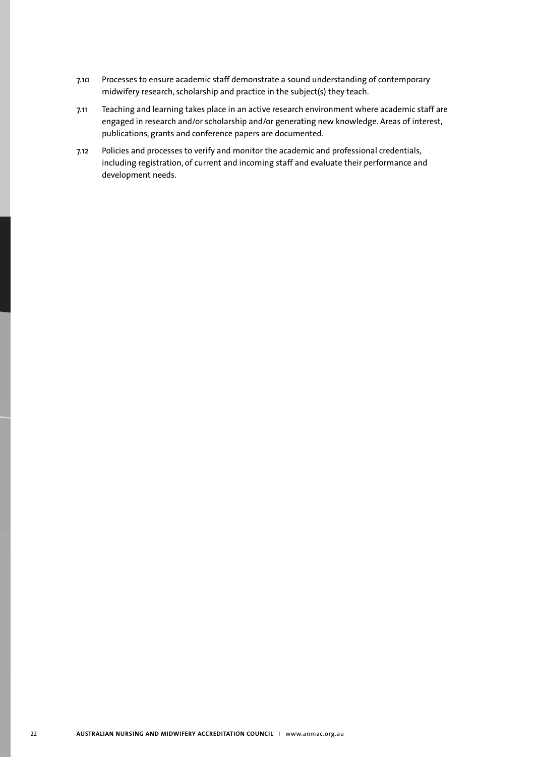- 7.10 Processes to ensure academic staff demonstrate a sound understanding of contemporary midwifery research, scholarship and practice in the subject(s) they teach.
- 7.11 Teaching and learning takes place in an active research environment where academic staff are engaged in research and/or scholarship and/or generating new knowledge. Areas of interest, publications, grants and conference papers are documented.
- 7.12 Policies and processes to verify and monitor the academic and professional credentials, including registration, of current and incoming staff and evaluate their performance and development needs.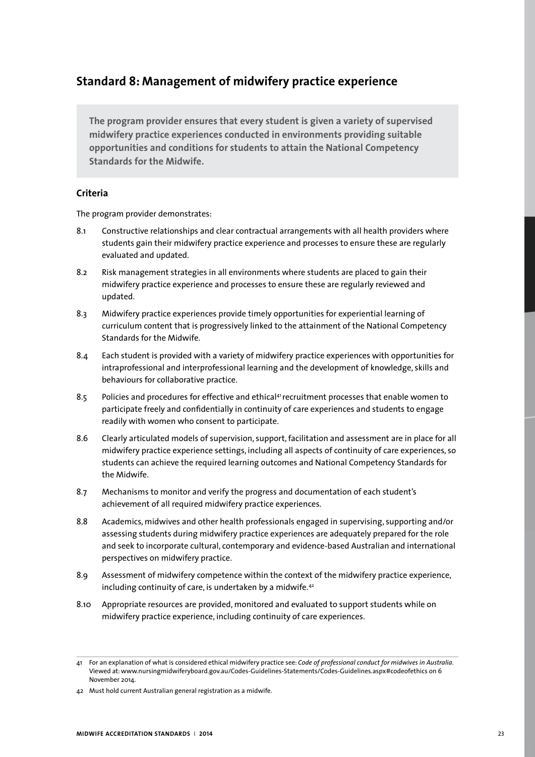# **Standard 8: Management of midwifery practice experience**

**The program provider ensures that every student is given a variety of supervised midwifery practice experiences conducted in environments providing suitable opportunities and conditions for students to attain the National Competency Standards for the Midwife.** 

## **Criteria**

- 8.1 Constructive relationships and clear contractual arrangements with all health providers where students gain their midwifery practice experience and processes to ensure these are regularly evaluated and updated.
- 8.2 Risk management strategies in all environments where students are placed to gain their midwifery practice experience and processes to ensure these are regularly reviewed and updated.
- 8.3 Midwifery practice experiences provide timely opportunities for experiential learning of curriculum content that is progressively linked to the attainment of the National Competency Standards for the Midwife.
- 8.4 Each student is provided with a variety of midwifery practice experiences with opportunities for intraprofessional and interprofessional learning and the development of knowledge, skills and behaviours for collaborative practice.
- 8.5 Policies and procedures for effective and ethical<sup>41</sup> recruitment processes that enable women to participate freely and confidentially in continuity of care experiences and students to engage readily with women who consent to participate.
- 8.6 Clearly articulated models of supervision, support, facilitation and assessment are in place for all midwifery practice experience settings, including all aspects of continuity of care experiences, so students can achieve the required learning outcomes and National Competency Standards for the Midwife.
- 8.7 Mechanisms to monitor and verify the progress and documentation of each student's achievement of all required midwifery practice experiences.
- 8.8 Academics, midwives and other health professionals engaged in supervising, supporting and/or assessing students during midwifery practice experiences are adequately prepared for the role and seek to incorporate cultural, contemporary and evidence-based Australian and international perspectives on midwifery practice.
- 8.9 Assessment of midwifery competence within the context of the midwifery practice experience, including continuity of care, is undertaken by a midwife.42
- 8.10 Appropriate resources are provided, monitored and evaluated to support students while on midwifery practice experience, including continuity of care experiences.

<sup>41</sup> For an explanation of what is considered ethical midwifery practice see: *Code of professional conduct for midwives in Australia*. Viewed at: www.nursingmidwiferyboard.gov.au/Codes-Guidelines-Statements/Codes-Guidelines.aspx#codeofethics on 6 November 2014.

<sup>42</sup> Must hold current Australian general registration as a midwife.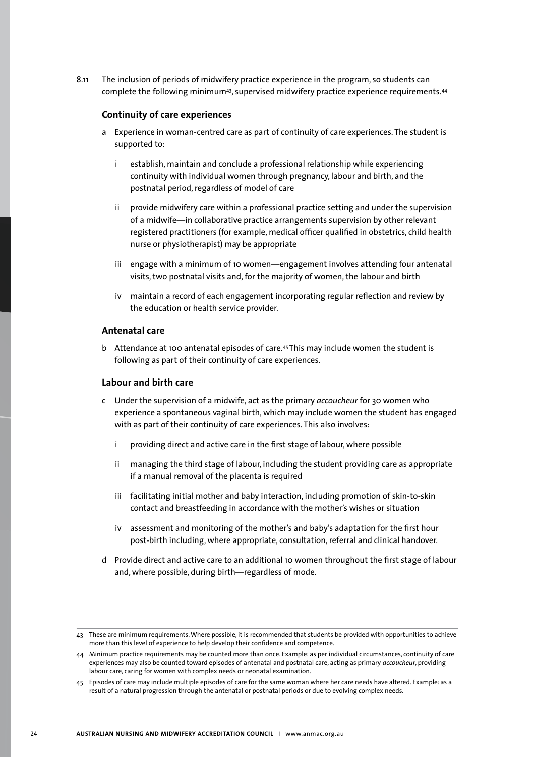8.11 The inclusion of periods of midwifery practice experience in the program, so students can complete the following minimum<sup>43</sup>, supervised midwifery practice experience requirements.<sup>44</sup>

### **Continuity of care experiences**

- a Experience in woman-centred care as part of continuity of care experiences. The student is supported to:
	- i establish, maintain and conclude a professional relationship while experiencing continuity with individual women through pregnancy, labour and birth, and the postnatal period, regardless of model of care
	- ii provide midwifery care within a professional practice setting and under the supervision of a midwife—in collaborative practice arrangements supervision by other relevant registered practitioners (for example, medical officer qualified in obstetrics, child health nurse or physiotherapist) may be appropriate
	- iii engage with a minimum of 10 women—engagement involves attending four antenatal visits, two postnatal visits and, for the majority of women, the labour and birth
	- iv maintain a record of each engagement incorporating regular reflection and review by the education or health service provider.

## **Antenatal care**

b Attendance at 100 antenatal episodes of care.<sup>45</sup> This may include women the student is following as part of their continuity of care experiences.

#### **Labour and birth care**

- c Under the supervision of a midwife, act as the primary *accoucheur* for 30 women who experience a spontaneous vaginal birth, which may include women the student has engaged with as part of their continuity of care experiences. This also involves:
	- i providing direct and active care in the first stage of labour, where possible
	- ii managing the third stage of labour, including the student providing care as appropriate if a manual removal of the placenta is required
	- iii facilitating initial mother and baby interaction, including promotion of skin-to-skin contact and breastfeeding in accordance with the mother's wishes or situation
	- iv assessment and monitoring of the mother's and baby's adaptation for the first hour post-birth including, where appropriate, consultation, referral and clinical handover.
- d Provide direct and active care to an additional 10 women throughout the first stage of labour and, where possible, during birth—regardless of mode.

<sup>43</sup> These are minimum requirements. Where possible, it is recommended that students be provided with opportunities to achieve more than this level of experience to help develop their confidence and competence.

<sup>44</sup> Minimum practice requirements may be counted more than once. Example: as per individual circumstances, continuity of care experiences may also be counted toward episodes of antenatal and postnatal care, acting as primary *accoucheur*, providing labour care, caring for women with complex needs or neonatal examination.

<sup>45</sup> Episodes of care may include multiple episodes of care for the same woman where her care needs have altered. Example: as a result of a natural progression through the antenatal or postnatal periods or due to evolving complex needs.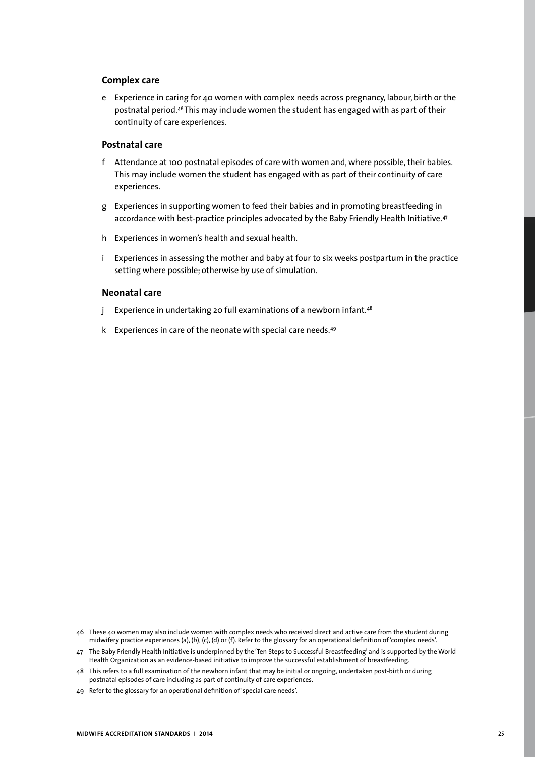### **Complex care**

e Experience in caring for 40 women with complex needs across pregnancy, labour, birth or the postnatal period.46 This may include women the student has engaged with as part of their continuity of care experiences.

## **Postnatal care**

- f Attendance at 100 postnatal episodes of care with women and, where possible, their babies. This may include women the student has engaged with as part of their continuity of care experiences.
- g Experiences in supporting women to feed their babies and in promoting breastfeeding in accordance with best-practice principles advocated by the Baby Friendly Health Initiative.<sup>47</sup>
- h Experiences in women's health and sexual health.
- i Experiences in assessing the mother and baby at four to six weeks postpartum in the practice setting where possible; otherwise by use of simulation.

### **Neonatal care**

- j Experience in undertaking 20 full examinations of a newborn infant.<sup>48</sup>
- k Experiences in care of the neonate with special care needs.<sup>49</sup>

<sup>46</sup> These 40 women may also include women with complex needs who received direct and active care from the student during midwifery practice experiences (a), (b), (c), (d) or (f). Refer to the glossary for an operational definition of 'complex needs'.

<sup>47</sup> The Baby Friendly Health Initiative is underpinned by the 'Ten Steps to Successful Breastfeeding' and is supported by the World Health Organization as an evidence-based initiative to improve the successful establishment of breastfeeding.

<sup>48</sup> This refers to a full examination of the newborn infant that may be initial or ongoing, undertaken post-birth or during postnatal episodes of care including as part of continuity of care experiences.

<sup>49</sup> Refer to the glossary for an operational definition of 'special care needs'.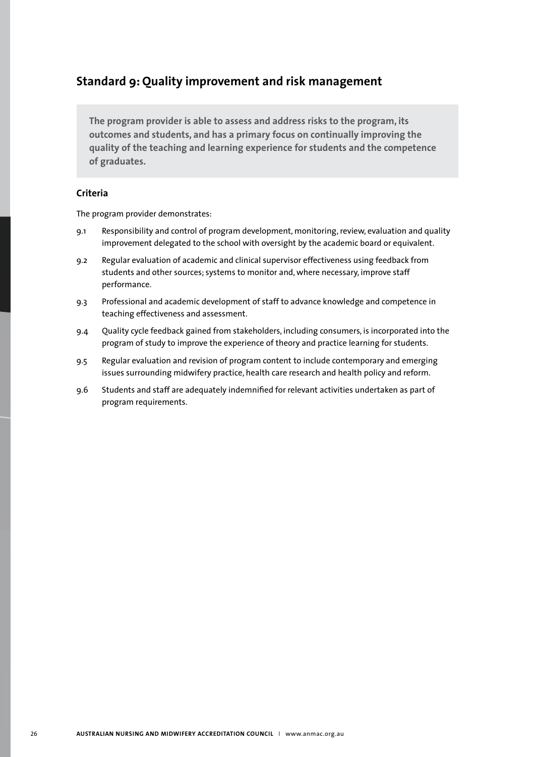# **Standard 9: Quality improvement and risk management**

**The program provider is able to assess and address risks to the program, its outcomes and students, and has a primary focus on continually improving the quality of the teaching and learning experience for students and the competence of graduates.** 

## **Criteria**

- 9.1 Responsibility and control of program development, monitoring, review, evaluation and quality improvement delegated to the school with oversight by the academic board or equivalent.
- 9.2 Regular evaluation of academic and clinical supervisor effectiveness using feedback from students and other sources; systems to monitor and, where necessary, improve staff performance.
- 9.3 Professional and academic development of staff to advance knowledge and competence in teaching effectiveness and assessment.
- 9.4 Quality cycle feedback gained from stakeholders, including consumers, is incorporated into the program of study to improve the experience of theory and practice learning for students.
- 9.5 Regular evaluation and revision of program content to include contemporary and emerging issues surrounding midwifery practice, health care research and health policy and reform.
- 9.6 Students and staff are adequately indemnified for relevant activities undertaken as part of program requirements.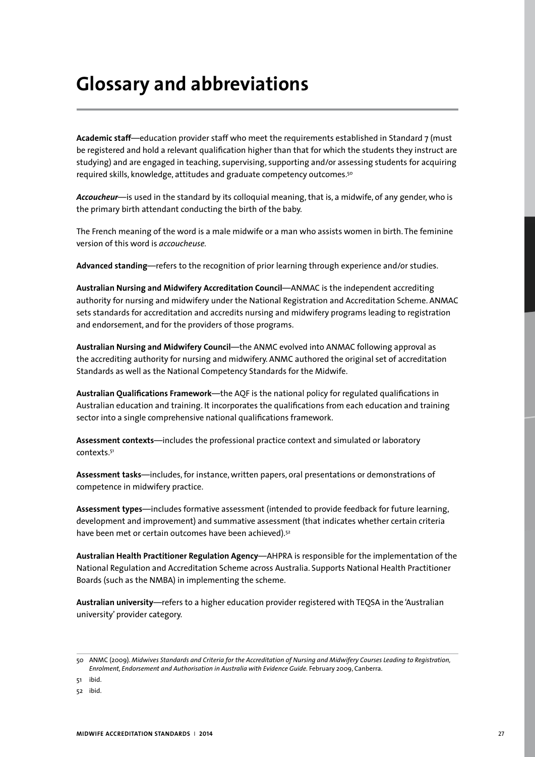# **Glossary and abbreviations**

**Academic staff**—education provider staff who meet the requirements established in Standard 7 (must be registered and hold a relevant qualification higher than that for which the students they instruct are studying) and are engaged in teaching, supervising, supporting and/or assessing students for acquiring required skills, knowledge, attitudes and graduate competency outcomes.50

*Accoucheur*—is used in the standard by its colloquial meaning, that is, a midwife, of any gender, who is the primary birth attendant conducting the birth of the baby.

The French meaning of the word is a male midwife or a man who assists women in birth. The feminine version of this word is *accoucheuse.*

**Advanced standing**—refers to the recognition of prior learning through experience and/or studies.

**Australian Nursing and Midwifery Accreditation Council**—ANMAC is the independent accrediting authority for nursing and midwifery under the National Registration and Accreditation Scheme. ANMAC sets standards for accreditation and accredits nursing and midwifery programs leading to registration and endorsement, and for the providers of those programs.

**Australian Nursing and Midwifery Council**—the ANMC evolved into ANMAC following approval as the accrediting authority for nursing and midwifery. ANMC authored the original set of accreditation Standards as well as the National Competency Standards for the Midwife.

**Australian Qualifications Framework**—the AQF is the national policy for regulated qualifications in Australian education and training. It incorporates the qualifications from each education and training sector into a single comprehensive national qualifications framework.

**Assessment contexts**—includes the professional practice context and simulated or laboratory contexts.51

**Assessment tasks**—includes, for instance, written papers, oral presentations or demonstrations of competence in midwifery practice.

**Assessment types**—includes formative assessment (intended to provide feedback for future learning, development and improvement) and summative assessment (that indicates whether certain criteria have been met or certain outcomes have been achieved).<sup>52</sup>

**Australian Health Practitioner Regulation Agency**—AHPRA is responsible for the implementation of the National Regulation and Accreditation Scheme across Australia. Supports National Health Practitioner Boards (such as the NMBA) in implementing the scheme.

**Australian university**—refers to a higher education provider registered with TEQSA in the 'Australian university' provider category.

ibid.

<sup>50</sup> ANMC (2009). *Midwives Standards and Criteria for the Accreditation of Nursing and Midwifery Courses Leading to Registration, Enrolment, Endorsement and Authorisation in Australia with Evidence Guide.* February 2009, Canberra.

<sup>52</sup> ibid.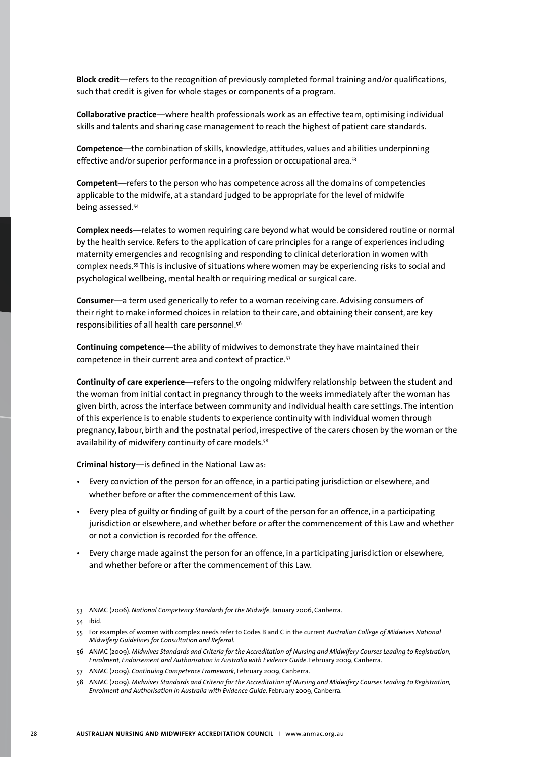**Block credit**—refers to the recognition of previously completed formal training and/or qualifications, such that credit is given for whole stages or components of a program.

**Collaborative practice**—where health professionals work as an effective team, optimising individual skills and talents and sharing case management to reach the highest of patient care standards.

**Competence**—the combination of skills, knowledge, attitudes, values and abilities underpinning effective and/or superior performance in a profession or occupational area.<sup>53</sup>

**Competent**—refers to the person who has competence across all the domains of competencies applicable to the midwife, at a standard judged to be appropriate for the level of midwife being assessed.54

**Complex needs**—relates to women requiring care beyond what would be considered routine or normal by the health service. Refers to the application of care principles for a range of experiences including maternity emergencies and recognising and responding to clinical deterioration in women with complex needs.55 This is inclusive of situations where women may be experiencing risks to social and psychological wellbeing, mental health or requiring medical or surgical care.

**Consumer**—a term used generically to refer to a woman receiving care. Advising consumers of their right to make informed choices in relation to their care, and obtaining their consent, are key responsibilities of all health care personnel.56

**Continuing competence**—the ability of midwives to demonstrate they have maintained their competence in their current area and context of practice.57

**Continuity of care experience**—refers to the ongoing midwifery relationship between the student and the woman from initial contact in pregnancy through to the weeks immediately after the woman has given birth, across the interface between community and individual health care settings. The intention of this experience is to enable students to experience continuity with individual women through pregnancy, labour, birth and the postnatal period, irrespective of the carers chosen by the woman or the availability of midwifery continuity of care models.<sup>58</sup>

**Criminal history**—is defined in the National Law as:

- Every conviction of the person for an offence, in a participating jurisdiction or elsewhere, and whether before or after the commencement of this Law.
- Every plea of guilty or finding of guilt by a court of the person for an offence, in a participating jurisdiction or elsewhere, and whether before or after the commencement of this Law and whether or not a conviction is recorded for the offence.
- Every charge made against the person for an offence, in a participating jurisdiction or elsewhere, and whether before or after the commencement of this Law.

<sup>53</sup> ANMC (2006). *National Competency Standards for the Midwife*, January 2006, Canberra.

<sup>54</sup> ibid.

<sup>55</sup> For examples of women with complex needs refer to Codes B and C in the current *Australian College of Midwives National Midwifery Guidelines for Consultation and Referral.*

<sup>56</sup> ANMC (2009). *Midwives Standards and Criteria for the Accreditation of Nursing and Midwifery Courses Leading to Registration, Enrolment, Endorsement and Authorisation in Australia with Evidence Guide*. February 2009, Canberra.

<sup>57</sup> ANMC (2009). *Continuing Competence Framework*, February 2009, Canberra.

<sup>58</sup> ANMC (2009). *Midwives Standards and Criteria for the Accreditation of Nursing and Midwifery Courses Leading to Registration, Enrolment and Authorisation in Australia with Evidence Guide*. February 2009, Canberra.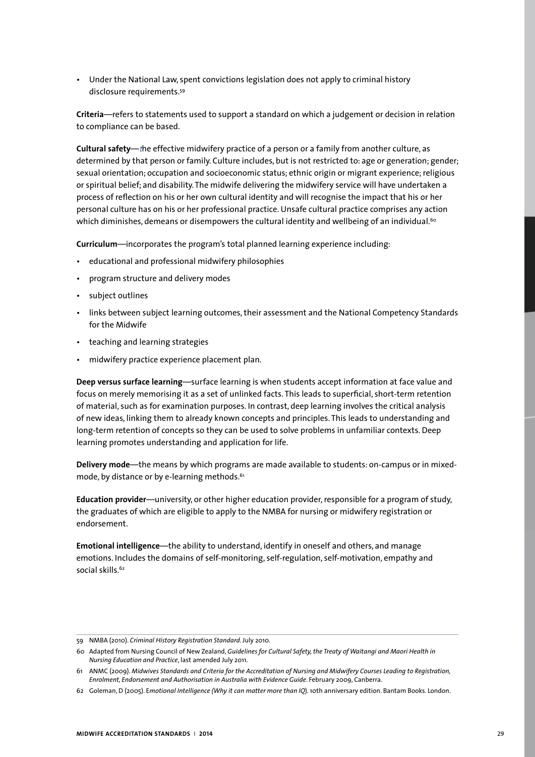• Under the National Law, spent convictions legislation does not apply to criminal history disclosure requirements.59

**Criteria**—refers to statements used to support a standard on which a judgement or decision in relation to compliance can be based.

**Cultural safety**—*t*he effective midwifery practice of a person or a family from another culture, as determined by that person or family. Culture includes, but is not restricted to: age or generation; gender; sexual orientation; occupation and socioeconomic status; ethnic origin or migrant experience; religious or spiritual belief; and disability. The midwife delivering the midwifery service will have undertaken a process of reflection on his or her own cultural identity and will recognise the impact that his or her personal culture has on his or her professional practice. Unsafe cultural practice comprises any action which diminishes, demeans or disempowers the cultural identity and wellbeing of an individual.<sup>60</sup>

**Curriculum**—incorporates the program's total planned learning experience including:

- educational and professional midwifery philosophies
- program structure and delivery modes
- subject outlines
- links between subject learning outcomes, their assessment and the National Competency Standards for the Midwife
- teaching and learning strategies
- midwifery practice experience placement plan.

**Deep versus surface learning**—surface learning is when students accept information at face value and focus on merely memorising it as a set of unlinked facts. This leads to superficial, short-term retention of material, such as for examination purposes. In contrast, deep learning involves the critical analysis of new ideas, linking them to already known concepts and principles. This leads to understanding and long-term retention of concepts so they can be used to solve problems in unfamiliar contexts. Deep learning promotes understanding and application for life.

**Delivery mode**—the means by which programs are made available to students: on-campus or in mixedmode, by distance or by e-learning methods.<sup>61</sup>

**Education provider**—university, or other higher education provider, responsible for a program of study, the graduates of which are eligible to apply to the NMBA for nursing or midwifery registration or endorsement.

**Emotional intelligence**—the ability to understand, identify in oneself and others, and manage emotions. Includes the domains of self-monitoring, self-regulation, self-motivation, empathy and social skills.<sup>62</sup>

<sup>59</sup> NMBA (2010). *Criminal History Registration Standard*. July 2010.

<sup>60</sup> Adapted from Nursing Council of New Zealand, *Guidelines for Cultural Safety, the Treaty of Waitangi and Maori Health in Nursing Education and Practice*, last amended July 2011.

<sup>61</sup> ANMC (2009). *Midwives Standards and Criteria for the Accreditation of Nursing and Midwifery Courses Leading to Registration, Enrolment, Endorsement and Authorisation in Australia with Evidence Guide*. February 2009, Canberra.

<sup>62</sup> Goleman, D (2005). E*motional Intelligence (Why it can matter more than IQ*). 10th anniversary edition. Bantam Books. London.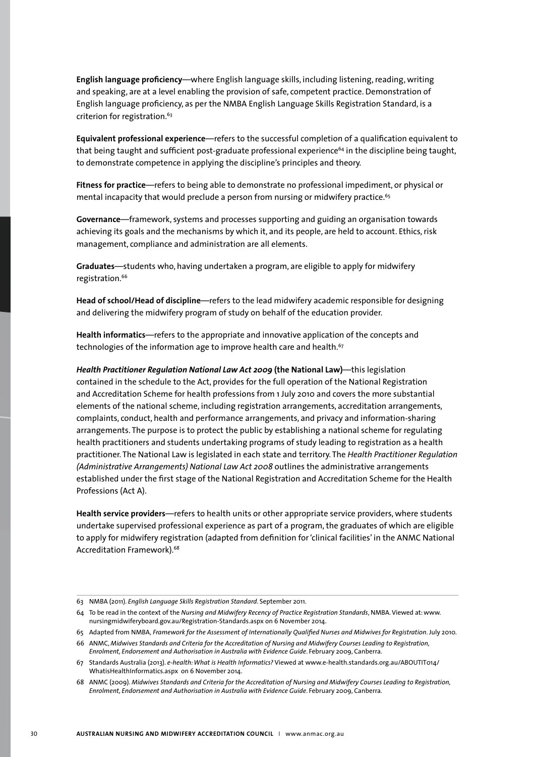**English language proficiency**—where English language skills, including listening, reading, writing and speaking, are at a level enabling the provision of safe, competent practice. Demonstration of English language proficiency, as per the NMBA English Language Skills Registration Standard, is a criterion for registration.<sup>63</sup>

**Equivalent professional experience**—refers to the successful completion of a qualification equivalent to that being taught and sufficient post-graduate professional experience<sup>64</sup> in the discipline being taught, to demonstrate competence in applying the discipline's principles and theory.

**Fitness for practice**—refers to being able to demonstrate no professional impediment, or physical or mental incapacity that would preclude a person from nursing or midwifery practice.<sup>65</sup>

**Governance**—framework, systems and processes supporting and guiding an organisation towards achieving its goals and the mechanisms by which it, and its people, are held to account. Ethics, risk management, compliance and administration are all elements.

**Graduates**—students who, having undertaken a program, are eligible to apply for midwifery registration.<sup>66</sup>

**Head of school/Head of discipline**—refers to the lead midwifery academic responsible for designing and delivering the midwifery program of study on behalf of the education provider.

**Health informatics**—refers to the appropriate and innovative application of the concepts and technologies of the information age to improve health care and health.<sup>67</sup>

*Health Practitioner Regulation National Law Act 2009* **(the National Law)**—this legislation contained in the schedule to the Act, provides for the full operation of the National Registration and Accreditation Scheme for health professions from 1 July 2010 and covers the more substantial elements of the national scheme, including registration arrangements, accreditation arrangements, complaints, conduct, health and performance arrangements, and privacy and information-sharing arrangements. The purpose is to protect the public by establishing a national scheme for regulating health practitioners and students undertaking programs of study leading to registration as a health practitioner. The National Law is legislated in each state and territory. The *Health Practitioner Regulation (Administrative Arrangements) National Law Act 2008* outlines the administrative arrangements established under the first stage of the National Registration and Accreditation Scheme for the Health Professions (Act A).

**Health service providers**—refers to health units or other appropriate service providers, where students undertake supervised professional experience as part of a program, the graduates of which are eligible to apply for midwifery registration (adapted from definition for 'clinical facilities' in the ANMC National Accreditation Framework).<sup>68</sup>

64 To be read in the context of the *Nursing and Midwifery Recency of Practice Registration Standards*, NMBA. Viewed at: www. nursingmidwiferyboard.gov.au/Registration-Standards.aspx on 6 November 2014.

66 ANMC, *Midwives Standards and Criteria for the Accreditation of Nursing and Midwifery Courses Leading to Registration, Enrolment, Endorsement and Authorisation in Australia with Evidence Guide*. February 2009, Canberra.

<sup>63</sup> NMBA (2011). *English Language Skills Registration Standard*. September 2011.

<sup>65</sup> Adapted from NMBA, *Framework for the Assessment of Internationally Qualified Nurses and Midwives for Registration*. July 2010.

<sup>67</sup> Standards Australia (2013). *e-health: What is Health Informatics?* Viewed at www.e-health.standards.org.au/ABOUTIT014/ WhatisHealthInformatics.aspx on 6 November 2014.

<sup>68</sup> ANMC (2009). *Midwives Standards and Criteria for the Accreditation of Nursing and Midwifery Courses Leading to Registration, Enrolment, Endorsement and Authorisation in Australia with Evidence Guide*. February 2009, Canberra.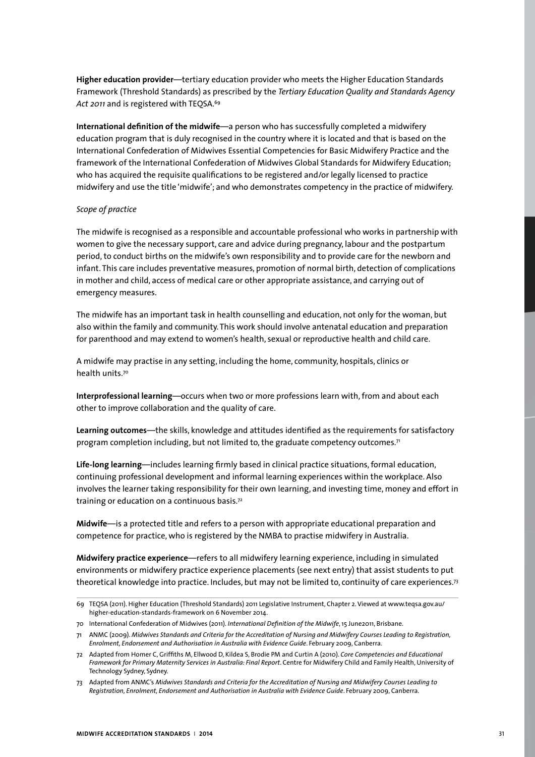**Higher education provider**—tertiary education provider who meets the Higher Education Standards Framework (Threshold Standards) as prescribed by the *Tertiary Education Quality and Standards Agency*  Act 2011 and is registered with TEQSA.<sup>69</sup>

**International definition of the midwife**—a person who has successfully completed a midwifery education program that is duly recognised in the country where it is located and that is based on the International Confederation of Midwives Essential Competencies for Basic Midwifery Practice and the framework of the International Confederation of Midwives Global Standards for Midwifery Education; who has acquired the requisite qualifications to be registered and/or legally licensed to practice midwifery and use the title 'midwife'; and who demonstrates competency in the practice of midwifery.

#### *Scope of practice*

The midwife is recognised as a responsible and accountable professional who works in partnership with women to give the necessary support, care and advice during pregnancy, labour and the postpartum period, to conduct births on the midwife's own responsibility and to provide care for the newborn and infant. This care includes preventative measures, promotion of normal birth, detection of complications in mother and child, access of medical care or other appropriate assistance, and carrying out of emergency measures.

The midwife has an important task in health counselling and education, not only for the woman, but also within the family and community. This work should involve antenatal education and preparation for parenthood and may extend to women's health, sexual or reproductive health and child care.

A midwife may practise in any setting, including the home, community, hospitals, clinics or health units.70

**Interprofessional learning**—occurs when two or more professions learn with, from and about each other to improve collaboration and the quality of care.

**Learning outcomes**—the skills, knowledge and attitudes identified as the requirements for satisfactory program completion including, but not limited to, the graduate competency outcomes. $71$ 

**Life-long learning**—includes learning firmly based in clinical practice situations, formal education, continuing professional development and informal learning experiences within the workplace. Also involves the learner taking responsibility for their own learning, and investing time, money and effort in training or education on a continuous basis.<sup>72</sup>

**Midwife**—is a protected title and refers to a person with appropriate educational preparation and competence for practice, who is registered by the NMBA to practise midwifery in Australia.

**Midwifery practice experience**—refers to all midwifery learning experience, including in simulated environments or midwifery practice experience placements (see next entry) that assist students to put theoretical knowledge into practice. Includes, but may not be limited to, continuity of care experiences.<sup>73</sup>

<sup>69</sup> TEQSA (2011). Higher Education (Threshold Standards) 2011 Legislative Instrument, Chapter 2. Viewed at www.teqsa.gov.au/ higher-education-standards-framework on 6 November 2014.

<sup>70</sup> International Confederation of Midwives (2011). *International Definition of the Midwife*, 15 June2011, Brisbane.

<sup>71</sup> ANMC (2009). *Midwives Standards and Criteria for the Accreditation of Nursing and Midwifery Courses Leading to Registration, Enrolment, Endorsement and Authorisation in Australia with Evidence Guide*. February 2009, Canberra.

<sup>72</sup> Adapted from Homer C, Griffiths M, Ellwood D, Kildea S, Brodie PM and Curtin A (2010). *Core Competencies and Educational Framework for Primary Maternity Services in Australia: Final Report*. Centre for Midwifery Child and Family Health, University of Technology Sydney, Sydney.

<sup>73</sup> Adapted from ANMC's *Midwives Standards and Criteria for the Accreditation of Nursing and Midwifery Courses Leading to Registration, Enrolment, Endorsement and Authorisation in Australia with Evidence Guide*. February 2009, Canberra.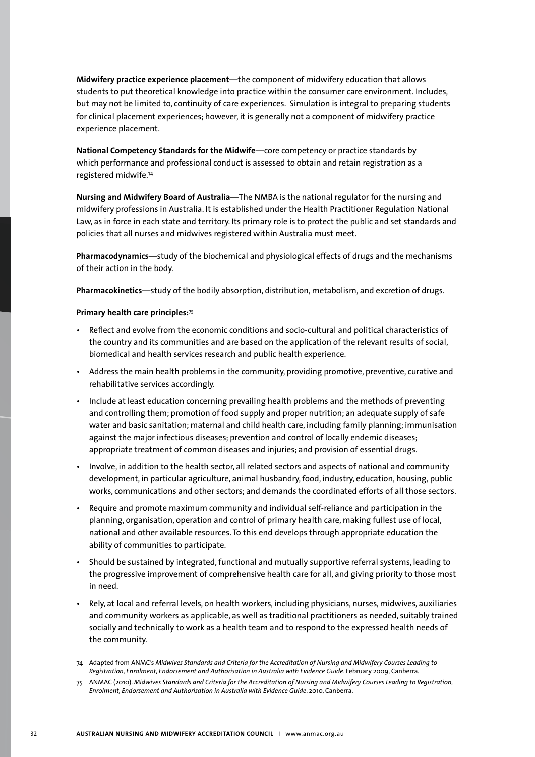**Midwifery practice experience placement**—the component of midwifery education that allows students to put theoretical knowledge into practice within the consumer care environment. Includes, but may not be limited to, continuity of care experiences. Simulation is integral to preparing students for clinical placement experiences; however, it is generally not a component of midwifery practice experience placement.

**National Competency Standards for the Midwife**—core competency or practice standards by which performance and professional conduct is assessed to obtain and retain registration as a registered midwife.74

**Nursing and Midwifery Board of Australia**—The NMBA is the national regulator for the nursing and midwifery professions in Australia. It is established under the Health Practitioner Regulation National Law, as in force in each state and territory. Its primary role is to protect the public and set standards and policies that all nurses and midwives registered within Australia must meet.

**Pharmacodynamics**—study of the biochemical and physiological effects of drugs and the mechanisms of their action in the body.

**Pharmacokinetics**—study of the bodily absorption, distribution, metabolism, and excretion of drugs.

### **Primary health care principles:**<sup>75</sup>

- Reflect and evolve from the economic conditions and socio-cultural and political characteristics of the country and its communities and are based on the application of the relevant results of social, biomedical and health services research and public health experience.
- Address the main health problems in the community, providing promotive, preventive, curative and rehabilitative services accordingly.
- Include at least education concerning prevailing health problems and the methods of preventing and controlling them; promotion of food supply and proper nutrition; an adequate supply of safe water and basic sanitation; maternal and child health care, including family planning; immunisation against the major infectious diseases; prevention and control of locally endemic diseases; appropriate treatment of common diseases and injuries; and provision of essential drugs.
- Involve, in addition to the health sector, all related sectors and aspects of national and community development, in particular agriculture, animal husbandry, food, industry, education, housing, public works, communications and other sectors; and demands the coordinated efforts of all those sectors.
- Require and promote maximum community and individual self-reliance and participation in the planning, organisation, operation and control of primary health care, making fullest use of local, national and other available resources. To this end develops through appropriate education the ability of communities to participate.
- Should be sustained by integrated, functional and mutually supportive referral systems, leading to the progressive improvement of comprehensive health care for all, and giving priority to those most in need.
- Rely, at local and referral levels, on health workers, including physicians, nurses, midwives, auxiliaries and community workers as applicable, as well as traditional practitioners as needed, suitably trained socially and technically to work as a health team and to respond to the expressed health needs of the community.

<sup>74</sup> Adapted from ANMC's *Midwives Standards and Criteria for the Accreditation of Nursing and Midwifery Courses Leading to Registration, Enrolment, Endorsement and Authorisation in Australia with Evidence Guide*. February 2009, Canberra.

<sup>75</sup> ANMAC (2010). *Midwives Standards and Criteria for the Accreditation of Nursing and Midwifery Courses Leading to Registration, Enrolment, Endorsement and Authorisation in Australia with Evidence Guide*. 2010, Canberra.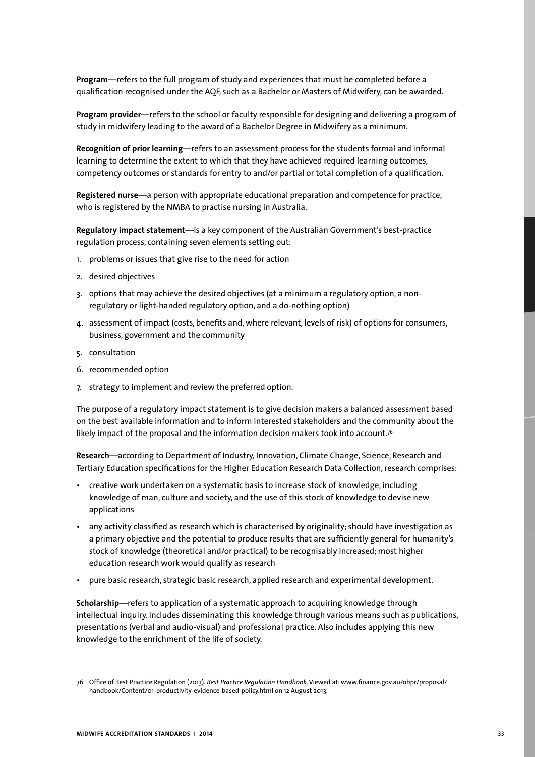**Program**—refers to the full program of study and experiences that must be completed before a qualification recognised under the AQF, such as a Bachelor or Masters of Midwifery, can be awarded.

**Program provider**—refers to the school or faculty responsible for designing and delivering a program of study in midwifery leading to the award of a Bachelor Degree in Midwifery as a minimum.

**Recognition of prior learning**—refers to an assessment process for the students formal and informal learning to determine the extent to which that they have achieved required learning outcomes, competency outcomes or standards for entry to and/or partial or total completion of a qualification.

**Registered nurse**—a person with appropriate educational preparation and competence for practice, who is registered by the NMBA to practise nursing in Australia.

**Regulatory impact statement**—is a key component of the Australian Government's best-practice regulation process, containing seven elements setting out:

- 1. problems or issues that give rise to the need for action
- 2. desired objectives
- 3. options that may achieve the desired objectives (at a minimum a regulatory option, a nonregulatory or light-handed regulatory option, and a do-nothing option)
- 4. assessment of impact (costs, benefits and, where relevant, levels of risk) of options for consumers, business, government and the community
- 5. consultation
- 6. recommended option
- 7. strategy to implement and review the preferred option.

The purpose of a regulatory impact statement is to give decision makers a balanced assessment based on the best available information and to inform interested stakeholders and the community about the likely impact of the proposal and the information decision makers took into account.<sup>76</sup>

**Research**—according to Department of Industry, Innovation, Climate Change, Science, Research and Tertiary Education specifications for the Higher Education Research Data Collection, research comprises:

- creative work undertaken on a systematic basis to increase stock of knowledge, including knowledge of man, culture and society, and the use of this stock of knowledge to devise new applications
- any activity classified as research which is characterised by originality; should have investigation as a primary objective and the potential to produce results that are sufficiently general for humanity's stock of knowledge (theoretical and/or practical) to be recognisably increased; most higher education research work would qualify as research
- pure basic research, strategic basic research, applied research and experimental development.

**Scholarship**—refers to application of a systematic approach to acquiring knowledge through intellectual inquiry. Includes disseminating this knowledge through various means such as publications, presentations (verbal and audio-visual) and professional practice. Also includes applying this new knowledge to the enrichment of the life of society.

<sup>76</sup> Office of Best Practice Regulation (2013). *Best Practice Regulation Handbook*. Viewed at: www.finance.gov.au/obpr/proposal/ handbook/Content/01-productivity-evidence-based-policy.html on 12 August 2013.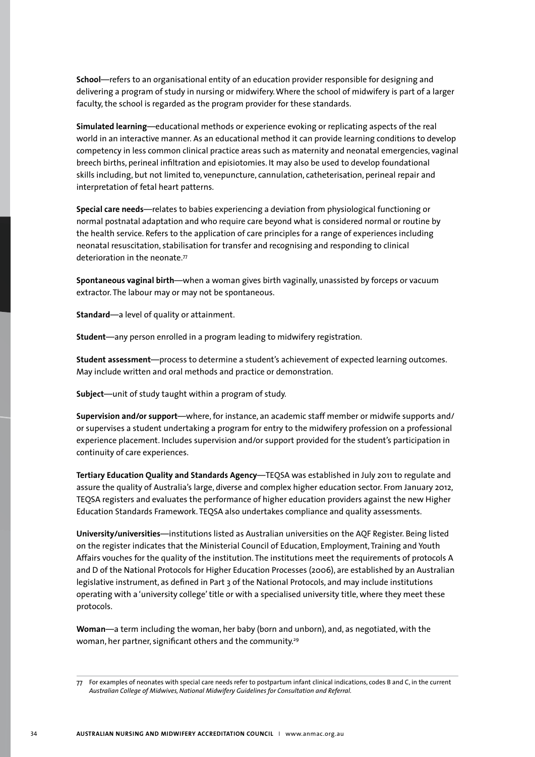**School**—refers to an organisational entity of an education provider responsible for designing and delivering a program of study in nursing or midwifery. Where the school of midwifery is part of a larger faculty, the school is regarded as the program provider for these standards.

**Simulated learning**—educational methods or experience evoking or replicating aspects of the real world in an interactive manner. As an educational method it can provide learning conditions to develop competency in less common clinical practice areas such as maternity and neonatal emergencies, vaginal breech births, perineal infiltration and episiotomies. It may also be used to develop foundational skills including, but not limited to, venepuncture, cannulation, catheterisation, perineal repair and interpretation of fetal heart patterns.

**Special care needs**—relates to babies experiencing a deviation from physiological functioning or normal postnatal adaptation and who require care beyond what is considered normal or routine by the health service. Refers to the application of care principles for a range of experiences including neonatal resuscitation, stabilisation for transfer and recognising and responding to clinical deterioration in the neonate.77

**Spontaneous vaginal birth**—when a woman gives birth vaginally, unassisted by forceps or vacuum extractor. The labour may or may not be spontaneous.

**Standard**—a level of quality or attainment.

**Student**—any person enrolled in a program leading to midwifery registration.

**Student assessment**—process to determine a student's achievement of expected learning outcomes. May include written and oral methods and practice or demonstration.

**Subject**—unit of study taught within a program of study.

**Supervision and/or support**—where, for instance, an academic staff member or midwife supports and/ or supervises a student undertaking a program for entry to the midwifery profession on a professional experience placement. Includes supervision and/or support provided for the student's participation in continuity of care experiences.

**Tertiary Education Quality and Standards Agency**—TEQSA was established in July 2011 to regulate and assure the quality of Australia's large, diverse and complex higher education sector. From January 2012, TEQSA registers and evaluates the performance of higher education providers against the new Higher Education Standards Framework. TEQSA also undertakes compliance and quality assessments.

**University/universities**—institutions listed as Australian universities on the AQF Register. Being listed on the register indicates that the Ministerial Council of Education, Employment, Training and Youth Affairs vouches for the quality of the institution. The institutions meet the requirements of protocols A and D of the National Protocols for Higher Education Processes (2006), are established by an Australian legislative instrument, as defined in Part 3 of the National Protocols, and may include institutions operating with a 'university college' title or with a specialised university title, where they meet these protocols.

**Woman**—a term including the woman, her baby (born and unborn), and, as negotiated, with the woman, her partner, significant others and the community.<sup>29</sup>

<sup>77</sup> For examples of neonates with special care needs refer to postpartum infant clinical indications, codes B and C, in the current *Australian College of Midwives, National Midwifery Guidelines for Consultation and Referral.*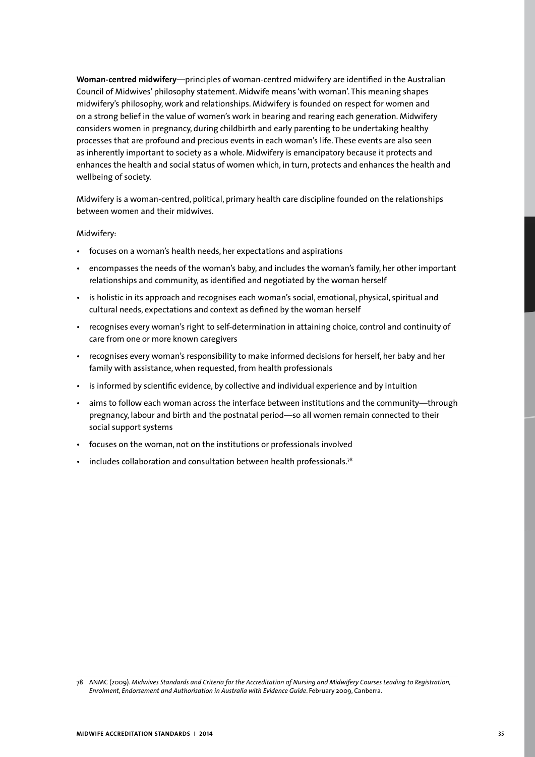**Woman-centred midwifery**—principles of woman-centred midwifery are identified in the Australian Council of Midwives' philosophy statement. Midwife means 'with woman'. This meaning shapes midwifery's philosophy, work and relationships. Midwifery is founded on respect for women and on a strong belief in the value of women's work in bearing and rearing each generation. Midwifery considers women in pregnancy, during childbirth and early parenting to be undertaking healthy processes that are profound and precious events in each woman's life. These events are also seen as inherently important to society as a whole. Midwifery is emancipatory because it protects and enhances the health and social status of women which, in turn, protects and enhances the health and wellbeing of society.

Midwifery is a woman-centred, political, primary health care discipline founded on the relationships between women and their midwives.

#### Midwifery:

- focuses on a woman's health needs, her expectations and aspirations
- encompasses the needs of the woman's baby, and includes the woman's family, her other important relationships and community, as identified and negotiated by the woman herself
- is holistic in its approach and recognises each woman's social, emotional, physical, spiritual and cultural needs, expectations and context as defined by the woman herself
- recognises every woman's right to self-determination in attaining choice, control and continuity of care from one or more known caregivers
- recognises every woman's responsibility to make informed decisions for herself, her baby and her family with assistance, when requested, from health professionals
- is informed by scientific evidence, by collective and individual experience and by intuition
- aims to follow each woman across the interface between institutions and the community—through pregnancy, labour and birth and the postnatal period—so all women remain connected to their social support systems
- focuses on the woman, not on the institutions or professionals involved
- includes collaboration and consultation between health professionals.<sup>78</sup>

<sup>78</sup> ANMC (2009). *Midwives Standards and Criteria for the Accreditation of Nursing and Midwifery Courses Leading to Registration, Enrolment, Endorsement and Authorisation in Australia with Evidence Guide*. February 2009, Canberra.